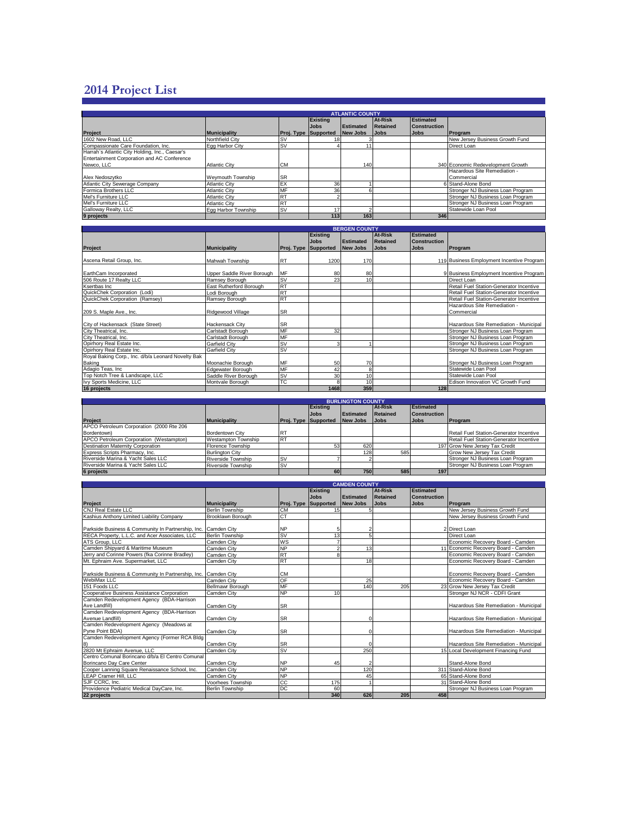## **2014 Project List**

|                                                | <b>ATLANTIC COUNTY</b> |                             |                 |           |             |                     |                                   |  |  |  |  |  |
|------------------------------------------------|------------------------|-----------------------------|-----------------|-----------|-------------|---------------------|-----------------------------------|--|--|--|--|--|
|                                                |                        |                             | <b>Existing</b> |           | At-Risk     | Estimated           |                                   |  |  |  |  |  |
|                                                |                        |                             | <b>Jobs</b>     | Estimated | Retained    | <b>Construction</b> |                                   |  |  |  |  |  |
| <b>Project</b>                                 | <b>Municipality</b>    | <b>Proj. Type Supported</b> |                 | New Jobs  | <b>Jobs</b> | <b>Jobs</b>         | Program                           |  |  |  |  |  |
| 1602 New Road, LLC                             | Northfield City        | <b>SV</b>                   |                 |           |             |                     | New Jersey Business Growth Fund   |  |  |  |  |  |
| Compassionate Care Foundation, Inc.            | Egg Harbor City        | <b>SV</b>                   |                 |           |             |                     | Direct Loan                       |  |  |  |  |  |
| Harrah's Atlantic City Holding, Inc., Caesar's |                        |                             |                 |           |             |                     |                                   |  |  |  |  |  |
| Entertainment Corporation and AC Conference    |                        |                             |                 |           |             |                     |                                   |  |  |  |  |  |
| Newco, LLC                                     | <b>Atlantic City</b>   | <b>CM</b>                   |                 | 140       |             |                     | 340 Economic Redevelopment Growth |  |  |  |  |  |
|                                                |                        |                             |                 |           |             |                     | Hazardous Site Remediation -      |  |  |  |  |  |
| Alex Nedoszytko                                | Wevmouth Township      | <b>SR</b>                   |                 |           |             |                     | Commercial                        |  |  |  |  |  |
| Atlantic City Sewerage Company                 | <b>Atlantic City</b>   | EX                          | 36              |           |             |                     | 6 Stand-Alone Bond                |  |  |  |  |  |
| Formica Brothers LLC                           | <b>Atlantic City</b>   | MF                          | 36              |           |             |                     | Stronger NJ Business Loan Program |  |  |  |  |  |
| Mel's Furniture LLC                            | <b>Atlantic City</b>   | <b>RT</b>                   |                 |           |             |                     | Stronger NJ Business Loan Program |  |  |  |  |  |
| Mel's Furniture LLC                            | <b>Atlantic City</b>   | <b>RT</b>                   |                 |           |             |                     | Stronger NJ Business Loan Program |  |  |  |  |  |
| Galloway Realty, LLC                           | Egg Harbor Township    | <b>SV</b>                   | 17              |           |             |                     | Statewide Loan Pool               |  |  |  |  |  |
| 9 projects                                     |                        |                             | 113             | 163       |             | 346                 |                                   |  |  |  |  |  |

| <b>BERGEN COUNTY</b>                               |                            |                             |                 |                  |                |                     |                                           |  |  |  |
|----------------------------------------------------|----------------------------|-----------------------------|-----------------|------------------|----------------|---------------------|-------------------------------------------|--|--|--|
|                                                    |                            |                             | <b>Existing</b> |                  | <b>At-Risk</b> | <b>Estimated</b>    |                                           |  |  |  |
|                                                    |                            |                             | <b>Jobs</b>     | <b>Estimated</b> | Retained       | <b>Construction</b> |                                           |  |  |  |
| <b>Project</b>                                     | <b>Municipality</b>        | <b>Proj. Type Supported</b> |                 | <b>New Jobs</b>  | <b>Jobs</b>    | <b>Jobs</b>         | Program                                   |  |  |  |
|                                                    |                            |                             |                 |                  |                |                     |                                           |  |  |  |
| Ascena Retail Group, Inc.                          | Mahwah Township            | <b>RT</b>                   | 1200            | 170              |                |                     | 119 Business Employment Incentive Program |  |  |  |
|                                                    |                            |                             |                 |                  |                |                     |                                           |  |  |  |
| EarthCam Incorporated                              | Upper Saddle River Borough | MF                          | 80              | 80               |                |                     | 9 Business Employment Incentive Program   |  |  |  |
| 506 Route 17 Realty LLC                            | Ramsey Borough             | <b>ISV</b>                  | 23              | 10               |                |                     | Direct Loan                               |  |  |  |
| Ksertbas Inc                                       | East Rutherford Borough    | <b>RT</b>                   |                 |                  |                |                     | Retail Fuel Station-Generator Incentive   |  |  |  |
| QuickChek Corporation (Lodi)                       | Lodi Borouah               | <b>RT</b>                   |                 |                  |                |                     | Retail Fuel Station-Generator Incentive   |  |  |  |
| QuickChek Corporation (Ramsey)                     | Ramsey Borough             | <b>RT</b>                   |                 |                  |                |                     | Retail Fuel Station-Generator Incentive   |  |  |  |
|                                                    |                            |                             |                 |                  |                |                     | Hazardous Site Remediation -              |  |  |  |
| 209 S. Maple Ave., Inc.                            | Ridgewood Village          | <b>SR</b>                   |                 |                  |                |                     | Commercial                                |  |  |  |
|                                                    |                            |                             |                 |                  |                |                     |                                           |  |  |  |
| City of Hackensack (State Street)                  | <b>Hackensack City</b>     | <b>SR</b>                   |                 |                  |                |                     | Hazardous Site Remediation - Municipal    |  |  |  |
| City Theatrical, Inc.                              | Carlstadt Borough          | MF                          | 32              |                  |                |                     | Stronger NJ Business Loan Program         |  |  |  |
| City Theatrical, Inc.                              | Carlstadt Borough          | <b>MF</b>                   |                 |                  |                |                     | Stronger NJ Business Loan Program         |  |  |  |
| Opirhory Real Estate Inc.                          | Garfield City              | <b>ISV</b>                  | 3               |                  |                |                     | Stronger NJ Business Loan Program         |  |  |  |
| Opirhory Real Estate Inc.                          | Garfield City              | <b>SV</b>                   |                 |                  |                |                     | Stronger NJ Business Loan Program         |  |  |  |
| Royal Baking Corp., Inc. d/b/a Leonard Novelty Bak |                            |                             |                 |                  |                |                     |                                           |  |  |  |
| Baking                                             | Moonachie Borough          | MF                          | 50              | 70               |                |                     | Stronger NJ Business Loan Program         |  |  |  |
| Adagio Teas, Inc.                                  | Edgewater Borough          | <b>MF</b>                   | 42              | 8                |                |                     | Statewide Loan Pool                       |  |  |  |
| Top Notch Tree & Landscape, LLC                    | Saddle River Borough       | <b>ISV</b>                  | 30              | 10               |                |                     | Statewide Loan Pool                       |  |  |  |
| Ivy Sports Medicine, LLC                           | Montvale Borough           | <b>TC</b>                   |                 | 10               |                |                     | Edison Innovation VC Growth Fund          |  |  |  |
| 16 projects                                        |                            |                             | 1468            | 359              |                | 128                 |                                           |  |  |  |

|                                          | <b>BURLINGTON COUNTY</b> |                             |                 |                  |             |                     |                                         |  |  |  |
|------------------------------------------|--------------------------|-----------------------------|-----------------|------------------|-------------|---------------------|-----------------------------------------|--|--|--|
|                                          |                          |                             | <b>Existing</b> |                  | At-Risk     | Estimated           |                                         |  |  |  |
|                                          |                          |                             | <b>Jobs</b>     | <b>Estimated</b> | Retained    | <b>Construction</b> |                                         |  |  |  |
| <b>Project</b>                           | <b>Municipality</b>      | <b>Proj. Type Supported</b> |                 | New Jobs         | <b>Jobs</b> | <b>Jobs</b>         | <b>IProgram</b>                         |  |  |  |
| APCO Petroleum Corporation (2000 Rte 206 |                          |                             |                 |                  |             |                     |                                         |  |  |  |
| Bordentown)                              | Bordentown City          | <b>IRT</b>                  |                 |                  |             |                     | Retail Fuel Station-Generator Incentive |  |  |  |
| APCO Petroleum Corporation (Westampton)  | Westampton Township      | <b>RT</b>                   |                 |                  |             |                     | Retail Fuel Station-Generator Incentive |  |  |  |
| <b>Destination Maternity Corporation</b> | Florence Township        |                             | 53              | 620              |             |                     | 197 Grow New Jersey Tax Credit          |  |  |  |
| Express Scripts Pharmacy, Inc.           | <b>Burlington City</b>   |                             |                 | 128              | 585         |                     | Grow New Jersey Tax Credit              |  |  |  |
| Riverside Marina & Yacht Sales LLC       | Riverside Township       | ISV                         |                 |                  |             |                     | Stronger NJ Business Loan Program       |  |  |  |
| Riverside Marina & Yacht Sales LLC       | Riverside Township       | <b>SV</b>                   |                 |                  |             |                     | Stronger NJ Business Loan Program       |  |  |  |
| 6 projects                               |                          |                             | 60              | 750              | 585         | 197                 |                                         |  |  |  |

| <b>CAMDEN COUNTY</b>                                           |                        |                             |                 |                  |                 |                     |                                        |  |  |  |
|----------------------------------------------------------------|------------------------|-----------------------------|-----------------|------------------|-----------------|---------------------|----------------------------------------|--|--|--|
|                                                                |                        |                             | <b>Existing</b> |                  | At-Risk         | <b>Estimated</b>    |                                        |  |  |  |
|                                                                |                        |                             | <b>Jobs</b>     | <b>Estimated</b> | <b>Retained</b> | <b>Construction</b> |                                        |  |  |  |
| Project                                                        | <b>Municipality</b>    | <b>Proi. Type Supported</b> |                 | <b>New Jobs</b>  | <b>Jobs</b>     | <b>Jobs</b>         | <b>Program</b>                         |  |  |  |
| <b>CNJ Real Estate LLC</b>                                     | <b>Berlin Township</b> | <b>CM</b>                   | 15              |                  |                 |                     | New Jersey Business Growth Fund        |  |  |  |
| Kashius Anthony Limited Liability Company                      | Brooklawn Borough      | CT                          |                 |                  |                 |                     | New Jersey Business Growth Fund        |  |  |  |
|                                                                |                        |                             |                 |                  |                 |                     |                                        |  |  |  |
| Parkside Business & Community In Partnership, Inc. Camden City |                        | <b>NP</b>                   | 5               | $\overline{2}$   |                 |                     | 2 Direct Loan                          |  |  |  |
| RECA Property, L.L.C. and Acer Associates, LLC                 | <b>Berlin Township</b> | SV                          | 13              | $\overline{5}$   |                 |                     | Direct Loan                            |  |  |  |
| ATS Group, LLC                                                 | Camden City            | WS                          |                 |                  |                 |                     | Economic Recovery Board - Camden       |  |  |  |
| Camden Shipyard & Maritime Museum                              | Camden City            | <b>NP</b>                   |                 | 13               |                 |                     | 11 Economic Recovery Board - Camden    |  |  |  |
| Jerry and Corinne Powers (fka Corinne Bradley)                 | Camden City            | <b>RT</b>                   |                 |                  |                 |                     | Economic Recovery Board - Camden       |  |  |  |
| Mt. Ephraim Ave. Supermarket, LLC                              | Camden City            | <b>RT</b>                   |                 | 18               |                 |                     | Economic Recovery Board - Camden       |  |  |  |
|                                                                |                        |                             |                 |                  |                 |                     |                                        |  |  |  |
| Parkside Business & Community In Partnership, Inc. Camden City |                        | <b>CM</b>                   |                 |                  |                 |                     | Economic Recovery Board - Camden       |  |  |  |
| WebiMax LLC                                                    | Camden City            | OF                          |                 | 25               |                 |                     | Economic Recovery Board - Camden       |  |  |  |
| 151 Foods LLC                                                  | Bellmawr Borough       | MF                          |                 | 140              | 205             |                     | 23 Grow New Jersey Tax Credit          |  |  |  |
| Cooperative Business Assistance Corporation                    | Camden City            | <b>NP</b>                   | 10              |                  |                 |                     | Stronger NJ NCR - CDFI Grant           |  |  |  |
| Camden Redevelopment Agency (BDA-Harrison                      |                        |                             |                 |                  |                 |                     |                                        |  |  |  |
| Ave Landfill)                                                  | Camden City            | <b>SR</b>                   |                 |                  |                 |                     | Hazardous Site Remediation - Municipal |  |  |  |
| Camden Redevelopment Agency (BDA-Harrison                      |                        |                             |                 |                  |                 |                     |                                        |  |  |  |
| Avenue Landfill)                                               | Camden City            | <b>SR</b>                   |                 | r                |                 |                     | Hazardous Site Remediation - Municipal |  |  |  |
| Camden Redevelopment Agency (Meadows at                        |                        |                             |                 |                  |                 |                     |                                        |  |  |  |
| Pyne Point BDA)                                                | Camden City            | <b>SR</b>                   |                 | $\Omega$         |                 |                     | Hazardous Site Remediation - Municipal |  |  |  |
| Camden Redevelopment Agency (Former RCA Bldg                   |                        |                             |                 |                  |                 |                     |                                        |  |  |  |
| $\vert 8\rangle$                                               | Camden City            | <b>SR</b>                   |                 |                  |                 |                     | Hazardous Site Remediation - Municipal |  |  |  |
| 2820 Mt Ephraim Avenue, LLC                                    | Camden City            | <b>SV</b>                   |                 | 250              |                 |                     | 15 Local Development Financing Fund    |  |  |  |
| Centro Comunal Borincano d/b/a El Centro Comunal               |                        |                             |                 |                  |                 |                     |                                        |  |  |  |
| Borincano Day Care Center                                      | Camden City            | <b>NP</b>                   | 45              | $\mathfrak{p}$   |                 |                     | Stand-Alone Bond                       |  |  |  |
| Cooper Lanning Square Renaissance School, Inc.                 | Camden City            | <b>NP</b>                   |                 | 120              |                 |                     | 311 Stand-Alone Bond                   |  |  |  |
| <b>LEAP Cramer Hill, LLC</b>                                   | Camden City            | <b>NP</b>                   |                 | 45               |                 |                     | 65 Stand-Alone Bond                    |  |  |  |
| SJF CCRC. Inc.                                                 | Voorhees Township      | CC                          | 175             |                  |                 |                     | 31 Stand-Alone Bond                    |  |  |  |
| Providence Pediatric Medical DayCare, Inc.                     | <b>Berlin Township</b> | <b>DC</b>                   | 60              |                  |                 |                     | Stronger NJ Business Loan Program      |  |  |  |
| 22 projects                                                    |                        |                             | 340             | 626              | 205             | 458                 |                                        |  |  |  |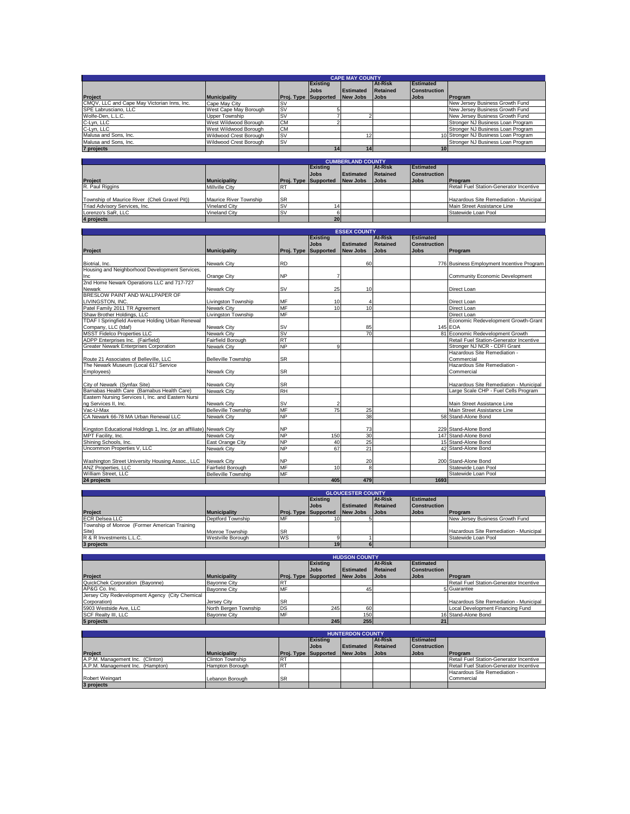|                                             | <b>CAPE MAY COUNTY</b> |                             |                 |                  |             |                     |                                      |  |  |  |  |
|---------------------------------------------|------------------------|-----------------------------|-----------------|------------------|-------------|---------------------|--------------------------------------|--|--|--|--|
|                                             |                        |                             | <b>Existing</b> |                  | At-Risk     | Estimated           |                                      |  |  |  |  |
|                                             |                        |                             | <b>Jobs</b>     | <b>Estimated</b> | Retained    | <b>Construction</b> |                                      |  |  |  |  |
| Project                                     | <b>Municipality</b>    | <b>Proj. Type Supported</b> |                 | New Jobs         | <b>Jobs</b> | <b>Jobs</b>         | Program                              |  |  |  |  |
| CMQV, LLC and Cape May Victorian Inns, Inc. | Cape May City          | <b>SV</b>                   |                 |                  |             |                     | New Jersey Business Growth Fund      |  |  |  |  |
| SPE Labrusciano, LLC                        | West Cape May Borough  | <b>SV</b>                   |                 |                  |             |                     | New Jersey Business Growth Fund      |  |  |  |  |
| Wolfe-Den, L.L.C.                           | Upper Township         | <b>SV</b>                   |                 |                  |             |                     | New Jersey Business Growth Fund      |  |  |  |  |
| C-Lyn, LLC                                  | West Wildwood Borough  | <b>CM</b>                   |                 |                  |             |                     | Stronger NJ Business Loan Program    |  |  |  |  |
| C-Lyn, LLC                                  | West Wildwood Borough  | <b>CM</b>                   |                 |                  |             |                     | Stronger NJ Business Loan Program    |  |  |  |  |
| Malusa and Sons, Inc.                       | Wildwood Crest Borough | <b>SV</b>                   |                 |                  |             |                     | 10 Stronger NJ Business Loan Program |  |  |  |  |
| Malusa and Sons, Inc.                       | Wildwood Crest Borough | <b>SV</b>                   |                 |                  |             |                     | Stronger NJ Business Loan Program    |  |  |  |  |
| 7 projects                                  |                        |                             |                 | 14               |             | 10 <sup>1</sup>     |                                      |  |  |  |  |

|                                               | <b>CUMBERLAND COUNTY</b> |                             |                 |                  |             |                     |                                         |  |  |  |  |
|-----------------------------------------------|--------------------------|-----------------------------|-----------------|------------------|-------------|---------------------|-----------------------------------------|--|--|--|--|
|                                               |                          |                             | <b>Existing</b> |                  | At-Risk     | Estimated           |                                         |  |  |  |  |
|                                               |                          |                             | <b>Jobs</b>     | <b>Estimated</b> | Retained    | <b>Construction</b> |                                         |  |  |  |  |
| Project                                       | <b>Municipality</b>      | <b>Proj. Type Supported</b> |                 | New Jobs         | <b>Jobs</b> | <b>Jobs</b>         | <b>Program</b>                          |  |  |  |  |
| R. Paul Riggins                               | <b>Millville City</b>    |                             |                 |                  |             |                     | Retail Fuel Station-Generator Incentive |  |  |  |  |
|                                               |                          |                             |                 |                  |             |                     |                                         |  |  |  |  |
| Township of Maurice River (Cheli Gravel Pit)) | Maurice River Township   | <b>SR</b>                   |                 |                  |             |                     | Hazardous Site Remediation - Municipal  |  |  |  |  |
| Triad Advisory Services, Inc.                 | Vineland City            | <b>SV</b>                   |                 |                  |             |                     | Main Street Assistance Line             |  |  |  |  |
| Lorenzo's SaR. LLC                            | Vineland City            | <b>SV</b>                   |                 |                  |             |                     | Statewide Loan Pool                     |  |  |  |  |
| 4 projects                                    |                          |                             | 20 <sub>l</sub> |                  |             |                     |                                         |  |  |  |  |

|                                                                                                   |                            |                      | <b>ESSEX COUNTY</b> |                  |                 |                  |                                           |  |  |  |  |  |
|---------------------------------------------------------------------------------------------------|----------------------------|----------------------|---------------------|------------------|-----------------|------------------|-------------------------------------------|--|--|--|--|--|
|                                                                                                   |                            |                      | <b>Existing</b>     |                  | <b>At-Risk</b>  | <b>Estimated</b> |                                           |  |  |  |  |  |
|                                                                                                   |                            |                      | <b>Jobs</b>         | <b>Estimated</b> | <b>Retained</b> | Construction     |                                           |  |  |  |  |  |
| Project                                                                                           | <b>Municipality</b>        | Proj. Type Supported |                     | <b>New Jobs</b>  | <b>Jobs</b>     | <b>Jobs</b>      | Program                                   |  |  |  |  |  |
|                                                                                                   |                            |                      |                     |                  |                 |                  |                                           |  |  |  |  |  |
| Biotrial, Inc.<br>Housing and Neighborhood Development Services,                                  | Newark City                | <b>RD</b>            |                     | 60               |                 |                  | 776 Business Employment Incentive Program |  |  |  |  |  |
|                                                                                                   |                            |                      |                     |                  |                 |                  |                                           |  |  |  |  |  |
| Inc<br>2nd Home Newark Operations LLC and 717-727                                                 | Orange City                | <b>NP</b>            |                     |                  |                 |                  | <b>Community Economic Development</b>     |  |  |  |  |  |
|                                                                                                   |                            |                      |                     |                  |                 |                  |                                           |  |  |  |  |  |
| Newark                                                                                            | <b>Newark City</b>         | <b>SV</b>            | 25                  | 10               |                 |                  | Direct Loan                               |  |  |  |  |  |
| BRESLOW PAINT AND WALLPAPER OF                                                                    |                            |                      |                     |                  |                 |                  |                                           |  |  |  |  |  |
| LIVINGSTON, INC.<br>Patel Family 2011 TR Agreement                                                | Livingston Township        | MF                   | 10                  |                  |                 |                  | Direct Loan                               |  |  |  |  |  |
|                                                                                                   | <b>Newark City</b>         | <b>MF</b>            | 10                  | 10               |                 |                  | Direct Loan                               |  |  |  |  |  |
| Shaw Brother Holdings, LLC                                                                        | Livingston Township        | MF                   |                     |                  |                 |                  | Direct Loan                               |  |  |  |  |  |
| TDAF I Springfield Avenue Holding Urban Renewal                                                   |                            |                      |                     |                  |                 |                  | Economic Redevelopment Growth-Grant       |  |  |  |  |  |
| Company, LLC (tdaf)                                                                               | Newark City                | <b>SV</b>            |                     | 85               |                 |                  | 145 EOA                                   |  |  |  |  |  |
| <b>MSST Fidelco Properties LLC</b>                                                                | Newark City                | <b>SV</b>            |                     | 70               |                 |                  | 81 Economic Redevelopment Growth          |  |  |  |  |  |
| ADPP Enterprises Inc. (Fairfield)                                                                 | Fairfield Borough          | <b>RT</b>            |                     |                  |                 |                  | Retail Fuel Station-Generator Incentive   |  |  |  |  |  |
| <b>Greater Newark Enterprises Corporation</b>                                                     | Newark City                | <b>NP</b>            | 9                   |                  |                 |                  | Stronger NJ NCR - CDFI Grant              |  |  |  |  |  |
|                                                                                                   |                            |                      |                     |                  |                 |                  | Hazardous Site Remediation -              |  |  |  |  |  |
| Route 21 Associates of Belleville, LLC<br>The Newark Museum (Local 617 Service                    | <b>Belleville Township</b> | <b>SR</b>            |                     |                  |                 |                  | Commercial                                |  |  |  |  |  |
|                                                                                                   |                            |                      |                     |                  |                 |                  | Hazardous Site Remediation -              |  |  |  |  |  |
| Employees)                                                                                        | <b>Newark City</b>         | <b>SR</b>            |                     |                  |                 |                  | Commercial                                |  |  |  |  |  |
|                                                                                                   |                            |                      |                     |                  |                 |                  |                                           |  |  |  |  |  |
| City of Newark (Synfax Site)                                                                      | Newark City                | <b>SR</b>            |                     |                  |                 |                  | Hazardous Site Remediation - Municipal    |  |  |  |  |  |
| Barnabas Health Care (Barnabus Health Care)<br>Eastern Nursing Services I, Inc. and Eastern Nursi | Newark City                | <b>RH</b>            |                     |                  |                 |                  | Large Scale CHP - Fuel Cells Program      |  |  |  |  |  |
|                                                                                                   |                            |                      |                     |                  |                 |                  |                                           |  |  |  |  |  |
| ng Services II, Inc.<br>Vac-U-Max                                                                 | Newark City                | <b>SV</b>            | 2                   |                  |                 |                  | Main Street Assistance Line               |  |  |  |  |  |
|                                                                                                   | <b>Belleville Township</b> | MF                   | 75                  | 25               |                 |                  | Main Street Assistance Line               |  |  |  |  |  |
| CA Newark 66-78 MA Urban Renewal LLC                                                              | Newark City                | <b>NP</b>            |                     | 38               |                 |                  | 58 Stand-Alone Bond                       |  |  |  |  |  |
|                                                                                                   |                            |                      |                     |                  |                 |                  |                                           |  |  |  |  |  |
| Kingston Educational Holdings 1, Inc. (or an affiliate) Newark City                               |                            | <b>NP</b>            |                     | 73               |                 |                  | 229 Stand-Alone Bond                      |  |  |  |  |  |
| MPT Facility, Inc.                                                                                | Newark City                | <b>NP</b>            | 150                 | 30               |                 |                  | 147 Stand-Alone Bond                      |  |  |  |  |  |
| Shining Schools, Inc.                                                                             | East Orange City           | <b>NP</b>            | 40                  | 25               |                 |                  | 15 Stand-Alone Bond                       |  |  |  |  |  |
| Uncommon Properties V, LLC                                                                        | Newark City                | <b>NP</b>            | 67                  | 21               |                 |                  | 42 Stand-Alone Bond                       |  |  |  |  |  |
|                                                                                                   |                            |                      |                     |                  |                 |                  |                                           |  |  |  |  |  |
| Washington Street University Housing Assoc., LLC                                                  | Newark City                | <b>NP</b>            |                     | 20               |                 |                  | 200 Stand-Alone Bond                      |  |  |  |  |  |
| ANZ Properties, LLC                                                                               | Fairfield Borough          | MF                   | 10                  | 8                |                 |                  | Statewide Loan Pool                       |  |  |  |  |  |
| William Street, LLC                                                                               | <b>Belleville Township</b> | <b>MF</b>            |                     |                  |                 |                  | Statewide Loan Pool                       |  |  |  |  |  |
| 24 projects                                                                                       |                            |                      | 405                 | 479              |                 | 1693             |                                           |  |  |  |  |  |

|                                              | <b>GLOUCESTER COUNTY</b> |                             |                 |           |                |                     |                                        |  |  |  |  |
|----------------------------------------------|--------------------------|-----------------------------|-----------------|-----------|----------------|---------------------|----------------------------------------|--|--|--|--|
|                                              |                          |                             | <b>Existing</b> |           | <b>At-Risk</b> | Estimated           |                                        |  |  |  |  |
|                                              |                          |                             | <b>Jobs</b>     | Estimated | Retained       | <b>Construction</b> |                                        |  |  |  |  |
| <b>Project</b>                               | <b>Municipality</b>      | <b>Proj. Type Supported</b> |                 | New Jobs  | <b>Jobs</b>    | <b>Jobs</b>         | Program                                |  |  |  |  |
| <b>ECR Delsea LLC</b>                        | Deptford Township        | <b>MF</b>                   |                 |           |                |                     | New Jersey Business Growth Fund        |  |  |  |  |
| Township of Monroe (Former American Training |                          |                             |                 |           |                |                     |                                        |  |  |  |  |
| Site)                                        | Monroe Township          | <b>SR</b>                   |                 |           |                |                     | Hazardous Site Remediation - Municipal |  |  |  |  |
| R & R Investments L.L.C.                     | <b>Westville Borough</b> | <b>WS</b>                   |                 |           |                |                     | Statewide Loan Pool                    |  |  |  |  |
| 3 projects                                   |                          |                             | 19              |           |                |                     |                                        |  |  |  |  |

|                                                 | <b>HUDSON COUNTY</b>  |                             |             |                  |                |                     |                                         |  |  |  |
|-------------------------------------------------|-----------------------|-----------------------------|-------------|------------------|----------------|---------------------|-----------------------------------------|--|--|--|
|                                                 |                       |                             | Existing    |                  | <b>At-Risk</b> | Estimated           |                                         |  |  |  |
|                                                 |                       |                             | <b>Jobs</b> | <b>Estimated</b> | Retained       | <b>Construction</b> |                                         |  |  |  |
| <b>Project</b>                                  | <b>Municipality</b>   | <b>Proj. Type Supported</b> |             | New Jobs         | <b>Jobs</b>    | <b>Jobs</b>         | <b>Program</b>                          |  |  |  |
| QuickChek Corporation (Bayonne)                 | <b>Bayonne City</b>   |                             |             |                  |                |                     | Retail Fuel Station-Generator Incentive |  |  |  |
| AP&G Co. Inc.                                   | <b>Bavonne City</b>   |                             |             | 45               |                |                     | 5 Guarantee                             |  |  |  |
| Jersey City Redevelopment Agency (City Chemical |                       |                             |             |                  |                |                     |                                         |  |  |  |
| Corporation)                                    | Jersey City           | <b>SR</b>                   |             |                  |                |                     | Hazardous Site Remediation - Municipal  |  |  |  |
| 5903 Westside Ave. LLC                          | North Bergen Township | <b>DS</b>                   | 245         | 60               |                |                     | Local Development Financing Fund        |  |  |  |
| SCF Realty III, LLC                             | <b>Bavonne City</b>   | MF                          |             | 150              |                |                     | 16 Stand-Alone Bond                     |  |  |  |
| 5 projects                                      |                       |                             | 245         | 255              |                | 21                  |                                         |  |  |  |

| 5 projects                       |                     |                 | 2451                                 | 2551      |                | 21 <sub>1</sub>     |                                         |  |  |  |
|----------------------------------|---------------------|-----------------|--------------------------------------|-----------|----------------|---------------------|-----------------------------------------|--|--|--|
| <b>HUNTERDON COUNTY</b>          |                     |                 |                                      |           |                |                     |                                         |  |  |  |
|                                  |                     |                 | <b>Existing</b>                      |           | <b>At-Risk</b> | <b>Estimated</b>    |                                         |  |  |  |
|                                  |                     |                 | <b>Jobs</b>                          | Estimated | Retained       | <b>Construction</b> |                                         |  |  |  |
| <b>Project</b>                   | <b>Municipality</b> |                 | <b>Proj. Type Supported New Jobs</b> |           | <b>Jobs</b>    | <b>Jobs</b>         | <b>Program</b>                          |  |  |  |
| A.P.M. Management Inc. (Clinton) | Clinton Township    | R.              |                                      |           |                |                     | Retail Fuel Station-Generator Incentive |  |  |  |
| A.P.M. Management Inc. (Hampton) | Hampton Borough     | IR <sup>7</sup> |                                      |           |                |                     | Retail Fuel Station-Generator Incentive |  |  |  |
|                                  |                     |                 |                                      |           |                |                     | Hazardous Site Remediation -            |  |  |  |
| Robert Weingart                  | Lebanon Borough     | <b>SR</b>       |                                      |           |                |                     | Commercial                              |  |  |  |
| 3 projects                       |                     |                 |                                      |           |                |                     |                                         |  |  |  |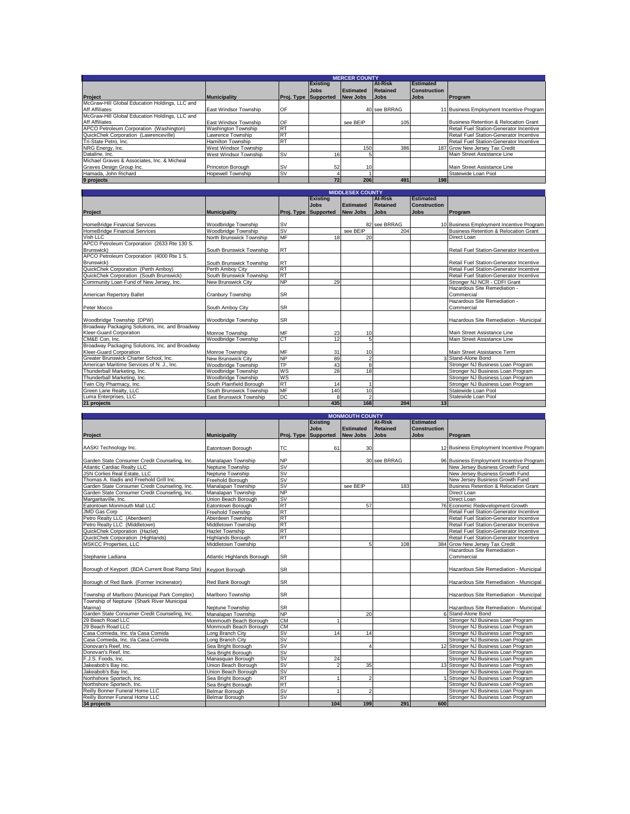|                                                | <b>MERCER COUNTY</b>       |                             |                 |                 |                |                     |                                          |  |  |  |  |
|------------------------------------------------|----------------------------|-----------------------------|-----------------|-----------------|----------------|---------------------|------------------------------------------|--|--|--|--|
|                                                |                            |                             | <b>Existing</b> |                 | <b>At-Risk</b> | Estimated           |                                          |  |  |  |  |
|                                                |                            |                             | <b>Jobs</b>     | Estimated       | Retained       | <b>Construction</b> |                                          |  |  |  |  |
| Project                                        | <b>Municipality</b>        | <b>Proj. Type Supported</b> |                 | New Jobs        | <b>Jobs</b>    | <b>Jobs</b>         | Program                                  |  |  |  |  |
| McGraw-Hill Global Education Holdings, LLC and |                            |                             |                 |                 |                |                     |                                          |  |  |  |  |
| <b>Aff Affiliates</b>                          | East Windsor Township      | OF                          |                 |                 | 40 see BRRAG   |                     | 11 Business Employment Incentive Program |  |  |  |  |
| McGraw-Hill Global Education Holdings, LLC and |                            |                             |                 |                 |                |                     |                                          |  |  |  |  |
| <b>Aff Affiliates</b>                          | East Windsor Township      | OF                          |                 | see BEIP        | 105            |                     | Business Retention & Relocation Grant    |  |  |  |  |
| APCO Petroleum Corporation (Washington)        | <b>Washington Township</b> | <b>RT</b>                   |                 |                 |                |                     | Retail Fuel Station-Generator Incentive  |  |  |  |  |
| QuickChek Corporation (Lawrenceville)          | Lawrence Township          | <b>R</b> T                  |                 |                 |                |                     | Retail Fuel Station-Generator Incentive  |  |  |  |  |
| Tri-State Petro, Inc.                          | Hamilton Township          | <b>RT</b>                   |                 |                 |                |                     | Retail Fuel Station-Generator Incentive  |  |  |  |  |
| NRG Energy, Inc.                               | West Windsor Township      |                             |                 | 150             | 386            |                     | 187 Grow New Jersey Tax Credit           |  |  |  |  |
| Dataline, Inc.                                 | West Windsor Township      | <b>SV</b>                   | 16              |                 |                |                     | Main Street Assistance Line              |  |  |  |  |
| Michael Graves & Associates, Inc. & Micheal    |                            |                             |                 |                 |                |                     |                                          |  |  |  |  |
| Graves Design Group Inc.                       | <b>Princeton Borough</b>   | <b>SV</b>                   | 52              | 10 <sup>1</sup> |                |                     | Main Street Assistance Line              |  |  |  |  |
| Hamada, John Richard                           | <b>Hopewell Township</b>   | <b>SV</b>                   |                 |                 |                |                     | Statewide Loan Pool                      |  |  |  |  |
| 9 projects                                     |                            |                             | 72              | 206             | 491            | 198                 |                                          |  |  |  |  |

| <b>MIDDLESEX COUNTY</b>                         |                           |            |                  |                  |                 |              |                                          |  |  |  |
|-------------------------------------------------|---------------------------|------------|------------------|------------------|-----------------|--------------|------------------------------------------|--|--|--|
|                                                 |                           |            | <b>Existing</b>  |                  | <b>At-Risk</b>  | Estimated    |                                          |  |  |  |
|                                                 |                           |            | <b>Jobs</b>      | <b>Estimated</b> | <b>Retained</b> | Construction |                                          |  |  |  |
| Project                                         | <b>Municipality</b>       | Proj. Type | <b>Supported</b> | <b>New Jobs</b>  | <b>Jobs</b>     | <b>Jobs</b>  | Program                                  |  |  |  |
|                                                 |                           |            |                  |                  |                 |              |                                          |  |  |  |
| HomeBridge Financial Services                   | Woodbridge Township       | <b>SV</b>  |                  |                  | 82 see BRRAG    |              | 10 Business Employment Incentive Program |  |  |  |
| HomeBridge Financial Services                   | Woodbridge Township       | <b>SV</b>  |                  | see BEIP         | 204             |              | Business Retention & Relocation Grant    |  |  |  |
| Vish LLC                                        | North Brunswick Township  | <b>MF</b>  | 18               | 20               |                 |              | Direct Loan                              |  |  |  |
| APCO Petroleum Corporation (2633 Rte 130 S.     |                           |            |                  |                  |                 |              |                                          |  |  |  |
| Brunswick)                                      | South Brunswick Township  | <b>RT</b>  |                  |                  |                 |              | Retail Fuel Station-Generator Incentive  |  |  |  |
| APCO Petroleum Corporation (4000 Rte 1 S.       |                           |            |                  |                  |                 |              |                                          |  |  |  |
| Brunswick)                                      | South Brunswick Township  | <b>RT</b>  |                  |                  |                 |              | Retail Fuel Station-Generator Incentive  |  |  |  |
| QuickChek Corporation (Perth Amboy)             | Perth Amboy City          | <b>RT</b>  |                  |                  |                 |              | Retail Fuel Station-Generator Incentive  |  |  |  |
| QuickChek Corporation (South Brunswick)         | South Brunswick Township  | <b>RT</b>  |                  |                  |                 |              | Retail Fuel Station-Generator Incentive  |  |  |  |
| Community Loan Fund of New Jersey, Inc.         | New Brunswick City        | <b>NP</b>  | 29               |                  |                 |              | Stronger NJ NCR - CDFI Grant             |  |  |  |
|                                                 |                           |            |                  |                  |                 |              | Hazardous Site Remediation -             |  |  |  |
| American Repertory Ballet                       | Cranbury Township         | <b>SR</b>  |                  |                  |                 |              | Commercial                               |  |  |  |
|                                                 |                           |            |                  |                  |                 |              | Hazardous Site Remediation -             |  |  |  |
| Peter Mocco                                     | South Amboy City          | <b>SR</b>  |                  |                  |                 |              | Commercial                               |  |  |  |
|                                                 |                           |            |                  |                  |                 |              |                                          |  |  |  |
| Woodbridge Township (DPW)                       | Woodbridge Township       | <b>SR</b>  |                  |                  |                 |              | Hazardous Site Remediation - Municipal   |  |  |  |
| Broadway Packaging Solutions, Inc. and Broadway |                           |            |                  |                  |                 |              |                                          |  |  |  |
| Kleer-Guard Corporation                         | Monroe Township           | MF         | 23               | 10               |                 |              | Main Street Assistance Line              |  |  |  |
| CM&E Con, Inc.                                  | Woodbridge Township       | <b>CT</b>  | 12               | 5                |                 |              | Main Street Assistance Line              |  |  |  |
| Broadway Packaging Solutions, Inc. and Broadway |                           |            |                  |                  |                 |              |                                          |  |  |  |
| Kleer-Guard Corporation                         | Monroe Township           | MF         | 31               | 10               |                 |              | Main Street Assistance Term              |  |  |  |
| Greater Brunswick Charter School, Inc.          | <b>New Brunswick City</b> | <b>NP</b>  | 89               | $\overline{2}$   |                 |              | 3 Stand-Alone Bond                       |  |  |  |
| American Maritime Services of N. J., Inc.       | Woodbridge Township       | <b>TP</b>  | 43               | 8                |                 |              | Stronger NJ Business Loan Program        |  |  |  |
| Thunderball Marketing, Inc.                     | Woodbridge Township       | WS         | 28               | 18               |                 |              | Stronger NJ Business Loan Program        |  |  |  |
| Thunderball Marketing, Inc.                     | Woodbridge Township       | <b>WS</b>  |                  |                  |                 |              | Stronger NJ Business Loan Program        |  |  |  |
| Twin City Pharmacy, Inc.                        | South Plainfield Borough  | <b>RT</b>  | 14               |                  |                 |              | Stronger NJ Business Loan Program        |  |  |  |
| Green Lane Realty, LLC                          | South Brunswick Township  | <b>MF</b>  | 140              | 10               |                 |              | Statewide Loan Pool                      |  |  |  |
| Luma Enterprises, LLC                           | East Brunswick Township   | DC         | 8                | $\overline{2}$   |                 |              | Statewide Loan Pool                      |  |  |  |
| 21 projects                                     |                           |            | 435              | 168              | 204             | 13           |                                          |  |  |  |

| 21 projects                                                        |                            |                      | 435             | 168                    | 204             | 13 <sup>1</sup>     |                                                  |
|--------------------------------------------------------------------|----------------------------|----------------------|-----------------|------------------------|-----------------|---------------------|--------------------------------------------------|
|                                                                    |                            |                      |                 |                        |                 |                     |                                                  |
|                                                                    |                            |                      |                 | <b>MONMOUTH COUNTY</b> |                 |                     |                                                  |
|                                                                    |                            |                      | <b>Existing</b> |                        | <b>At-Risk</b>  | <b>Estimated</b>    |                                                  |
|                                                                    |                            |                      | <b>Jobs</b>     | <b>Estimated</b>       | <b>Retained</b> | <b>Construction</b> |                                                  |
| Project                                                            | <b>Municipality</b>        | Proj. Type Supported |                 | <b>New Jobs</b>        | <b>Jobs</b>     | <b>Jobs</b>         | Program                                          |
|                                                                    |                            |                      |                 |                        |                 |                     |                                                  |
| AASKI Technology Inc.                                              | Eatontown Borough          | ТC                   | 61              | 30                     |                 |                     | 12 Business Employment Incentive Program         |
|                                                                    |                            |                      |                 |                        |                 |                     |                                                  |
| Garden State Consumer Credit Counseling, Inc.                      | Manalapan Township         | <b>NP</b>            |                 |                        | 30 see BRRAG    |                     | 96 Business Employment Incentive Program         |
| Atlantic Cardiac Realty LLC                                        | Neptune Township           | <b>SV</b>            |                 |                        |                 |                     | New Jersey Business Growth Fund                  |
| JSN Corlies Real Estate, LLC                                       | Neptune Township           | <b>SV</b>            |                 |                        |                 |                     | New Jersey Business Growth Fund                  |
| Thomas A. Iliadis and Freehold Grill Inc.                          | Freehold Borough           | <b>SV</b>            |                 |                        |                 |                     | New Jersey Business Growth Fund                  |
| Garden State Consumer Credit Counseling, Inc.                      |                            | <b>SV</b>            |                 | see BEIP               |                 |                     |                                                  |
|                                                                    | Manalapan Township         |                      |                 |                        | 183             |                     | <b>Business Retention &amp; Relocation Grant</b> |
| Garden State Consumer Credit Counseling, Inc.                      | Manalapan Township         | <b>NP</b>            |                 |                        |                 |                     | Direct Loan                                      |
| Margaritaville, Inc.                                               | Union Beach Borough        | <b>SV</b>            |                 |                        |                 |                     | Direct Loan                                      |
| Eatontown Monmouth Mall LLC                                        | Eatontown Borough          | <b>RT</b>            |                 | 57                     |                 |                     | 76 Economic Redevelopment Growth                 |
| <b>JMD Gas Corp</b>                                                | Freehold Township          | <b>RT</b>            |                 |                        |                 |                     | Retail Fuel Station-Generator Incentive          |
| Petro Realty LLC (Aberdeen)                                        | Aberdeen Township          | <b>RT</b>            |                 |                        |                 |                     | Retail Fuel Station-Generator Incentive          |
| Petro Realty LLC (Middletown)                                      | Middletown Township        | <b>RT</b>            |                 |                        |                 |                     | Retail Fuel Station-Generator Incentive          |
| QuickChek Corporation (Hazlet)                                     | <b>Hazlet Township</b>     | <b>RT</b>            |                 |                        |                 |                     | Retail Fuel Station-Generator Incentive          |
| QuickChek Corporation (Highlands)                                  | <b>Highlands Borough</b>   | <b>RT</b>            |                 |                        |                 |                     | Retail Fuel Station-Generator Incentive          |
| <b>MSKCC Properties, LLC</b>                                       | Middletown Township        |                      |                 | 5                      | 108             | 384                 | Grow New Jersey Tax Credit                       |
|                                                                    |                            |                      |                 |                        |                 |                     | Hazardous Site Remediation -                     |
| Stephanie Ladiana                                                  | Atlantic Highlands Borough | <b>SR</b>            |                 |                        |                 |                     | Commercial                                       |
|                                                                    |                            |                      |                 |                        |                 |                     |                                                  |
| Borough of Keyport (BDA Current Boat Ramp Site)                    | Keyport Borough            | <b>SR</b>            |                 |                        |                 |                     | Hazardous Site Remediation - Municipal           |
|                                                                    |                            |                      |                 |                        |                 |                     |                                                  |
| Borough of Red Bank (Former Incinerator)                           | Red Bank Borough           | <b>SR</b>            |                 |                        |                 |                     | Hazardous Site Remediation - Municipal           |
|                                                                    |                            |                      |                 |                        |                 |                     |                                                  |
| Township of Marlboro (Municipal Park Complex)                      |                            | <b>SR</b>            |                 |                        |                 |                     | Hazardous Site Remediation - Municipal           |
| Township of Neptune (Shark River Municipal                         | Marlboro Township          |                      |                 |                        |                 |                     |                                                  |
|                                                                    |                            |                      |                 |                        |                 |                     |                                                  |
| Marina)                                                            | Neptune Township           | <b>SR</b>            |                 |                        |                 |                     | Hazardous Site Remediation - Municipal           |
| Garden State Consumer Credit Counseling, Inc.<br>29 Beach Road LLC | Manalapan Township         | <b>NP</b>            |                 | 20                     |                 |                     | 6 Stand-Alone Bond                               |
|                                                                    | Monmouth Beach Borough     | <b>CM</b>            |                 |                        |                 |                     | Stronger NJ Business Loan Program                |
| 29 Beach Road LLC                                                  | Monmouth Beach Borough     | <b>CM</b>            |                 |                        |                 |                     | Stronger NJ Business Loan Program                |
| Casa Comieda, Inc. t/a Casa Comida                                 | Long Branch City           | <b>SV</b>            | 14              | 14                     |                 |                     | Stronger NJ Business Loan Program                |
| Casa Comieda, Inc. t/a Casa Comida                                 | Long Branch City           | <b>SV</b>            |                 |                        |                 |                     | Stronger NJ Business Loan Program                |
| Donovan's Reef, Inc.                                               | Sea Bright Borough         | <b>SV</b>            |                 | $\Delta$               |                 |                     | 12 Stronger NJ Business Loan Program             |
| Donovan's Reef. Inc.                                               | Sea Bright Borough         | <b>SV</b>            |                 |                        |                 |                     | Stronger NJ Business Loan Program                |
| F.J.S. Foods, Inc.                                                 | Manasquan Borough          | <b>SV</b>            | 24              |                        |                 |                     | Stronger NJ Business Loan Program                |
| Jakeabob's Bay Inc.                                                | Union Beach Borough        | <b>SV</b>            | $\mathfrak{p}$  | 35                     |                 |                     | 13 Stronger NJ Business Loan Program             |
| Jakeabob's Bay Inc.                                                | Union Beach Borough        | <b>SV</b>            |                 |                        |                 |                     | Stronger NJ Business Loan Program                |
| Northshore Sportech, Inc.                                          | Sea Bright Borough         | <b>RT</b>            |                 | $\overline{2}$         |                 |                     | Stronger NJ Business Loan Program                |
| Northshore Sportech, Inc.                                          | Sea Bright Borough         | <b>RT</b>            |                 |                        |                 |                     | Stronger NJ Business Loan Program                |
| Reilly Bonner Funeral Home LLC                                     | Belmar Borough             | <b>SV</b>            |                 | $\overline{a}$         |                 |                     | Stronger NJ Business Loan Program                |
| Reilly Bonner Funeral Home LLC                                     | Belmar Borough             | <b>SV</b>            |                 |                        |                 |                     | Stronger NJ Business Loan Program                |
| 34 projects                                                        |                            |                      | 104             | 199                    | 291             | 600                 |                                                  |
|                                                                    |                            |                      |                 |                        |                 |                     |                                                  |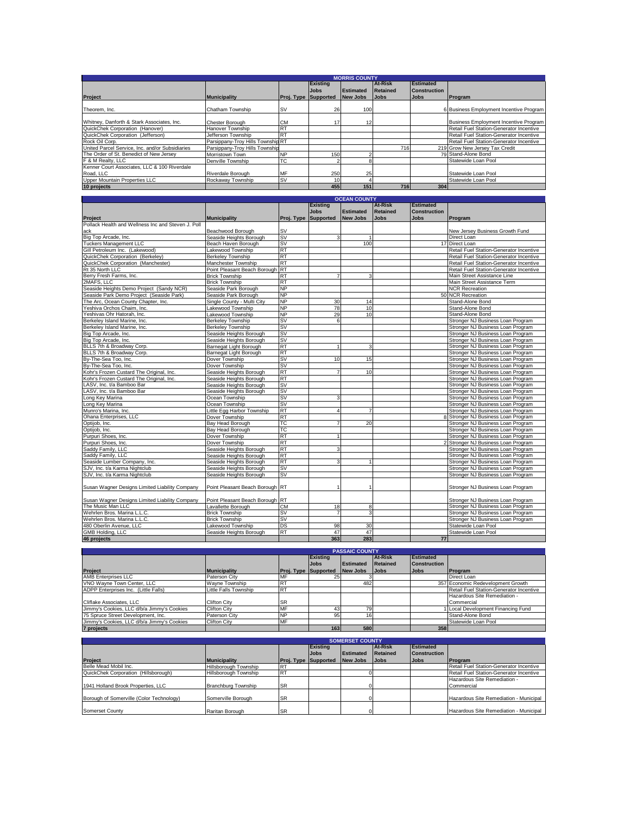|                                                 | <b>MORRIS COUNTY</b>              |                             |                 |                  |                |                     |                                              |  |  |  |
|-------------------------------------------------|-----------------------------------|-----------------------------|-----------------|------------------|----------------|---------------------|----------------------------------------------|--|--|--|
|                                                 |                                   |                             | <b>Existing</b> |                  | <b>At-Risk</b> | Estimated           |                                              |  |  |  |
|                                                 |                                   |                             | <b>Jobs</b>     | <b>Estimated</b> | Retained       | <b>Construction</b> |                                              |  |  |  |
| <b>Project</b>                                  | <b>Municipality</b>               | <b>Proj. Type Supported</b> |                 | <b>New Jobs</b>  | <b>Jobs</b>    | <b>Jobs</b>         | Program                                      |  |  |  |
| Theorem, Inc.                                   | Chatham Township                  | <b>SV</b>                   | 26              |                  |                |                     | 6 Business Employment Incentive Program      |  |  |  |
|                                                 |                                   |                             |                 | 100              |                |                     |                                              |  |  |  |
| Whitney, Danforth & Stark Associates, Inc.      | <b>Chester Borough</b>            | <b>CM</b>                   | 17              | 12 <sub>1</sub>  |                |                     | <b>Business Employment Incentive Program</b> |  |  |  |
| QuickChek Corporation (Hanover)                 | Hanover Township                  | <b>RT</b>                   |                 |                  |                |                     | Retail Fuel Station-Generator Incentive      |  |  |  |
| QuickChek Corporation (Jefferson)               | Jefferson Township                | <b>RT</b>                   |                 |                  |                |                     | Retail Fuel Station-Generator Incentive      |  |  |  |
| Rock Oil Corp.                                  | Parsippany-Troy Hills Township RT |                             |                 |                  |                |                     | Retail Fuel Station-Generator Incentive      |  |  |  |
| United Parcel Service, Inc. and/or Subsidiaries | Parsippany-Troy Hills Township    |                             |                 |                  | 716            |                     | 219 Grow New Jersey Tax Credit               |  |  |  |
| The Order of St. Benedict of New Jersey         | Morristown Town                   | <b>NP</b>                   | 150             |                  |                |                     | 79 Stand-Alone Bond                          |  |  |  |
| F & M Realty, LLC                               | Denville Township                 | TC                          |                 |                  |                |                     | Statewide Loan Pool                          |  |  |  |
| Kenner Court Associates, LLC & 100 Riverdale    |                                   |                             |                 |                  |                |                     |                                              |  |  |  |
| Road, LLC                                       | Riverdale Borough                 | MF                          | 250             | 25               |                |                     | Statewide Loan Pool                          |  |  |  |
| Upper Mountain Properties LLC                   | Rockaway Township                 | <b>SV</b>                   | 10 <sup>1</sup> |                  |                |                     | Statewide Loan Pool                          |  |  |  |
| 10 projects                                     |                                   |                             | 455             | 151              | 716            | 304                 |                                              |  |  |  |

| <b>OCEAN COUNTY</b>                                |                                 |           |                      |                  |                 |                     |                                         |
|----------------------------------------------------|---------------------------------|-----------|----------------------|------------------|-----------------|---------------------|-----------------------------------------|
|                                                    |                                 |           | <b>Existing</b>      |                  | <b>At-Risk</b>  | <b>Estimated</b>    |                                         |
|                                                    |                                 |           | <b>Jobs</b>          | <b>Estimated</b> | <b>Retained</b> | <b>Construction</b> |                                         |
| Project                                            | <b>Municipality</b>             |           | Proj. Type Supported | <b>New Jobs</b>  | <b>Jobs</b>     | <b>Jobs</b>         | Program                                 |
| Pollack Health and Wellness Inc and Steven J. Poll |                                 |           |                      |                  |                 |                     |                                         |
| ack                                                | Beachwood Borough               | <b>SV</b> |                      |                  |                 |                     | New Jersey Business Growth Fund         |
| Big Top Arcade, Inc.                               | Seaside Heights Borough         | <b>SV</b> | 3                    | $\overline{1}$   |                 |                     | Direct Loan                             |
| <b>Tuckers Management LLC</b>                      | Beach Haven Borough             | <b>SV</b> |                      | 100              |                 |                     | 17 Direct Loan                          |
| Gill Petroleum Inc. (Lakewood)                     | Lakewood Township               | <b>RT</b> |                      |                  |                 |                     | Retail Fuel Station-Generator Incentive |
| QuickChek Corporation (Berkelev)                   | <b>Berkeley Township</b>        | RT        |                      |                  |                 |                     | Retail Fuel Station-Generator Incentive |
| QuickChek Corporation (Manchester)                 | Manchester Township             | <b>RT</b> |                      |                  |                 |                     | Retail Fuel Station-Generator Incentive |
| Rt 35 North LLC                                    | Point Pleasant Beach Borough    | <b>RT</b> |                      |                  |                 |                     | Retail Fuel Station-Generator Incentive |
| Berry Fresh Farms, Inc.                            | <b>Brick Township</b>           | <b>RT</b> | $\overline{7}$       | 3                |                 |                     | Main Street Assistance Line             |
| 2MAFS, LLC                                         | <b>Brick Township</b>           | <b>RT</b> |                      |                  |                 |                     | Main Street Assistance Term             |
| Seaside Heights Demo Project (Sandy NCR)           | Seaside Park Borough            | <b>NP</b> |                      |                  |                 |                     | <b>NCR Recreation</b>                   |
| Seaside Park Demo Project (Seaside Park)           | Seaside Park Borough            | <b>NP</b> |                      |                  |                 |                     | 50 NCR Recreation                       |
| The Arc, Ocean County Chapter, Inc.                | Single County - Multi City      | <b>NP</b> | 30                   | 14               |                 |                     | Stand-Alone Bond                        |
| Yeshiva Orchos Chaim, Inc.                         | Lakewood Township               | <b>NP</b> | 78                   | 10               |                 |                     | Stand-Alone Bond                        |
| Yeshivas Ohr Hatorah, Inc.                         | Lakewood Township               | <b>NP</b> | 29                   | 10               |                 |                     | Stand-Alone Bond                        |
| Berkeley Island Marine, Inc.                       | <b>Berkelev Township</b>        | <b>SV</b> | 6                    |                  |                 |                     | Stronger NJ Business Loan Program       |
| Berkeley Island Marine, Inc.                       | <b>Berkeley Township</b>        | <b>SV</b> |                      |                  |                 |                     | Stronger NJ Business Loan Program       |
| Big Top Arcade, Inc.                               | Seaside Heights Borough         | <b>SV</b> |                      |                  |                 |                     | Stronger NJ Business Loan Program       |
| Big Top Arcade, Inc.                               | Seaside Heights Borough         | <b>SV</b> |                      |                  |                 |                     | Stronger NJ Business Loan Program       |
| BLLS 7th & Broadway Corp.                          | Barnegat Light Borough          | <b>RT</b> |                      | 3                |                 |                     | Stronger NJ Business Loan Program       |
| BLLS 7th & Broadway Corp.                          | Barnegat Light Borough          | <b>RT</b> |                      |                  |                 |                     | Stronger NJ Business Loan Program       |
| By-The-Sea Too, Inc.                               | Dover Township                  | <b>SV</b> | 10                   | 15               |                 |                     | Stronger NJ Business Loan Program       |
| By-The-Sea Too, Inc.                               | Dover Township                  | <b>SV</b> |                      |                  |                 |                     | Stronger NJ Business Loan Program       |
| Kohr's Frozen Custard The Original, Inc.           | Seaside Heights Borough         | <b>RT</b> |                      | 10               |                 |                     | Stronger NJ Business Loan Program       |
| Kohr's Frozen Custard The Original, Inc.           | Seaside Heights Borough         | <b>RT</b> |                      |                  |                 |                     | Stronger NJ Business Loan Program       |
| LASV. Inc. t/a Bamboo Bar                          | Seaside Heights Borough         | <b>SV</b> |                      |                  |                 |                     | Stronger NJ Business Loan Program       |
| LASV, Inc. t/a Bamboo Bar                          | Seaside Heights Borough         | <b>SV</b> |                      |                  |                 |                     | Stronger NJ Business Loan Program       |
| Long Key Marina                                    | Ocean Township                  | <b>SV</b> | 3                    |                  |                 |                     | Stronger NJ Business Loan Program       |
| Long Key Marina                                    | Ocean Township                  | <b>SV</b> |                      |                  |                 |                     | Stronger NJ Business Loan Program       |
| Munro's Marina, Inc.                               | Little Egg Harbor Township      | <b>RT</b> | $\Delta$             | $\overline{7}$   |                 |                     | Stronger NJ Business Loan Program       |
| Ohana Enterprises, LLC                             | Dover Township                  | <b>RT</b> |                      |                  |                 |                     | 8 Stronger NJ Business Loan Program     |
| Optijob, Inc.                                      | Bay Head Borough                | TC        | $\overline{7}$       | 20               |                 |                     | Stronger NJ Business Loan Program       |
| Optijob, Inc.                                      | Bay Head Borough                | <b>TC</b> |                      |                  |                 |                     | Stronger NJ Business Loan Program       |
| Purpuri Shoes, Inc.                                | Dover Township                  | <b>RT</b> | $\mathbf{1}$         |                  |                 |                     | Stronger NJ Business Loan Program       |
| Purpuri Shoes, Inc.                                | Dover Township                  | RT        |                      |                  |                 |                     | 2 Stronger NJ Business Loan Program     |
| Saddy Family, LLC                                  | Seaside Heights Borough         | <b>RT</b> | 3                    |                  |                 |                     | Stronger NJ Business Loan Program       |
| Saddy Family, LLC                                  | Seaside Heights Borough         | <b>RT</b> |                      |                  |                 |                     | Stronger NJ Business Loan Program       |
| Seaside Lumber Company, Inc.                       | Seaside Heights Borough         | <b>RT</b> | 3                    |                  |                 |                     | Stronger NJ Business Loan Program       |
| SJV, Inc. t/a Karma Nightclub                      | Seaside Heights Borough         | <b>SV</b> |                      |                  |                 |                     | Stronger NJ Business Loan Program       |
| SJV. Inc. t/a Karma Nightclub                      | Seaside Heights Borough         | <b>SV</b> |                      |                  |                 |                     | Stronger NJ Business Loan Program       |
|                                                    |                                 |           |                      |                  |                 |                     |                                         |
| Susan Wagner Designs Limited Liability Company     | Point Pleasant Beach Borough RT |           |                      |                  |                 |                     | Stronger NJ Business Loan Program       |
|                                                    |                                 |           |                      |                  |                 |                     |                                         |
| Susan Wagner Designs Limited Liability Company     | Point Pleasant Beach Borough RT |           |                      |                  |                 |                     | Stronger NJ Business Loan Program       |
| The Music Man LLC                                  | Lavallette Borough              | <b>CM</b> | 18                   | 8                |                 |                     | Stronger NJ Business Loan Program       |
| Wehrlen Bros, Marina L.L.C.                        | <b>Brick Township</b>           | <b>SV</b> | $\overline{7}$       | 3                |                 |                     | Stronger NJ Business Loan Program       |
| Wehrlen Bros, Marina L.L.C.                        | <b>Brick Township</b>           | <b>SV</b> |                      |                  |                 |                     | Stronger NJ Business Loan Program       |
| 480 Oberlin Avenue, LLC                            | Lakewood Township               | DS        | 98                   | 30               |                 |                     | Statewide Loan Pool                     |
| GMB Holding, LLC                                   | Seaside Heights Borough         | <b>RT</b> | 47                   | 47               |                 |                     | Statewide Loan Pool                     |
| 46 projects                                        |                                 |           | 363                  | 283              |                 | 77                  |                                         |

| <b>PASSAIC COUNTY</b>                      |                       |                             |                 |                |             |                     |                                         |  |  |  |
|--------------------------------------------|-----------------------|-----------------------------|-----------------|----------------|-------------|---------------------|-----------------------------------------|--|--|--|
|                                            |                       |                             | <b>Existing</b> | <b>At-Risk</b> |             | <b>Estimated</b>    |                                         |  |  |  |
|                                            |                       |                             | <b>Jobs</b>     | Estimated      | Retained    | <b>Construction</b> |                                         |  |  |  |
| <b>Project</b>                             | <b>Municipality</b>   | <b>Proj. Type Supported</b> |                 | New Jobs       | <b>Jobs</b> | <b>Jobs</b>         | <b>IProgram</b>                         |  |  |  |
| AMB Enterprises LLC                        | Paterson City         | MF                          | 25              |                |             |                     | Direct Loan                             |  |  |  |
| VNO Wavne Town Center, LLC                 | Wavne Township        | <b>RT</b>                   |                 | 482            |             |                     | 357 Economic Redevelopment Growth       |  |  |  |
| ADPP Enterprises Inc. (Little Falls)       | Little Falls Township | <b>R</b>                    |                 |                |             |                     | Retail Fuel Station-Generator Incentive |  |  |  |
|                                            |                       |                             |                 |                |             |                     | Hazardous Site Remediation -            |  |  |  |
| Cliflake Associates, LLC                   | Clifton City          | <b>SR</b>                   |                 |                |             |                     | Commercial                              |  |  |  |
| Jimmy's Cookies, LLC d/b/a Jimmy's Cookies | Clifton City          | MF                          | 43              | 79             |             |                     | Local Development Financing Fund        |  |  |  |
| 75 Spruce Street Development, Inc.         | Paterson City         | <b>NP</b>                   | 95              |                |             |                     | Stand-Alone Bond                        |  |  |  |
| Jimmy's Cookies, LLC d/b/a Jimmy's Cookies | Clifton City          | MF                          |                 |                |             |                     | Statewide Loan Pool                     |  |  |  |
| 7 projects                                 |                       |                             | 163             | 580            |             | 358                 |                                         |  |  |  |

| <b>SOMERSET COUNTY</b>                   |                       |                             |             |                  |                |                     |                                         |  |  |
|------------------------------------------|-----------------------|-----------------------------|-------------|------------------|----------------|---------------------|-----------------------------------------|--|--|
|                                          |                       |                             | Existing    |                  | <b>At-Risk</b> | <b>IEstimated</b>   |                                         |  |  |
|                                          |                       |                             | <b>Jobs</b> | <b>Estimated</b> | Retained       | <b>Construction</b> |                                         |  |  |
| <b>Project</b>                           | <b>Municipality</b>   | <b>Proj. Type Supported</b> |             | New Jobs         | <b>Jobs</b>    | <b>Jobs</b>         | Program                                 |  |  |
| Belle Mead Mobil Inc.                    | Hillsborough Township | R.                          |             |                  |                |                     | Retail Fuel Station-Generator Incentive |  |  |
| QuickChek Corporation (Hillsborough)     | Hillsborough Township | R <sup>-</sup>              |             |                  |                |                     | Retail Fuel Station-Generator Incentive |  |  |
|                                          |                       |                             |             |                  |                |                     | Hazardous Site Remediation -            |  |  |
| 1941 Holland Brook Properties, LLC       | Branchburg Township   | <b>SR</b>                   |             |                  |                |                     | Commercial                              |  |  |
|                                          |                       |                             |             |                  |                |                     |                                         |  |  |
| Borough of Somerville (Color Technology) | Somerville Borough    | <b>SR</b>                   |             |                  |                |                     | Hazardous Site Remediation - Municipal  |  |  |
|                                          |                       |                             |             |                  |                |                     |                                         |  |  |
| Somerset County                          | Raritan Borough       | <b>SR</b>                   |             |                  |                |                     | Hazardous Site Remediation - Municipal  |  |  |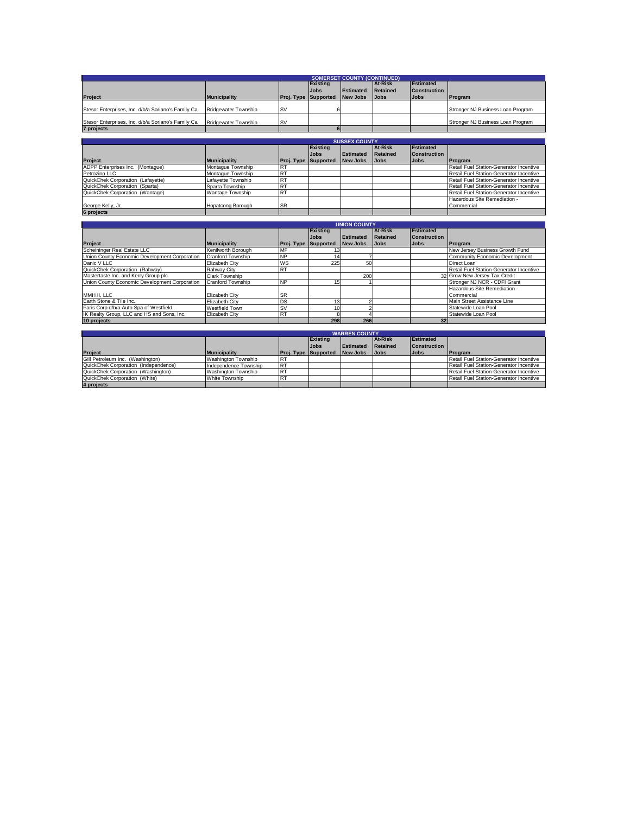|                                                    |                             |            |                  | <b>SOMERSET COUNTY (CONTINUED)</b> |                 |                     |                                            |
|----------------------------------------------------|-----------------------------|------------|------------------|------------------------------------|-----------------|---------------------|--------------------------------------------|
|                                                    |                             |            | <b>Existing</b>  |                                    | At-Risk         | <b>Estimated</b>    |                                            |
|                                                    |                             |            | <b>Jobs</b>      | <b>Estimated</b>                   | <b>Retained</b> | <b>Construction</b> |                                            |
| Project                                            | <b>Municipality</b>         | Proj. Type | <b>Supported</b> | <b>New Jobs</b>                    | <b>Jobs</b>     | <b>Jobs</b>         | Program                                    |
|                                                    |                             |            |                  |                                    |                 |                     |                                            |
| Stesor Enterprises, Inc. d/b/a Soriano's Family Ca | <b>Bridgewater Township</b> | <b>SV</b>  | 6                |                                    |                 |                     | Stronger NJ Business Loan Program          |
| Stesor Enterprises, Inc. d/b/a Soriano's Family Ca | <b>Bridgewater Township</b> | <b>SV</b>  |                  |                                    |                 |                     | Stronger NJ Business Loan Program          |
| 7 projects                                         |                             |            | 6                |                                    |                 |                     |                                            |
|                                                    |                             |            |                  |                                    |                 |                     |                                            |
|                                                    |                             |            |                  | <b>SUSSEX COUNTY</b>               |                 |                     |                                            |
|                                                    |                             |            | <b>Existing</b>  |                                    | At-Risk         | <b>Estimated</b>    |                                            |
|                                                    |                             |            | <b>Jobs</b>      | <b>Estimated</b>                   | <b>Retained</b> | Construction        |                                            |
| <b>Project</b>                                     | <b>Municipality</b>         | Proi. Type | <b>Supported</b> | <b>New Jobs</b>                    | <b>Jobs</b>     | <b>Jobs</b>         | Program                                    |
| ADPP Enterprises Inc. (Montaque)                   | Montaque Township           | <b>RT</b>  |                  |                                    |                 |                     | Retail Fuel Station-Generator Incentive    |
| Petrozino LLC                                      | Montaque Township           | <b>RT</b>  |                  |                                    |                 |                     | Retail Fuel Station-Generator Incentive    |
| QuickChek Corporation (Lafavette)                  | Lafavette Township          | <b>RT</b>  |                  |                                    |                 |                     | Retail Fuel Station-Generator Incentive    |
| QuickChek Corporation (Sparta)                     | Sparta Township             | <b>RT</b>  |                  |                                    |                 |                     | Retail Fuel Station-Generator Incentive    |
| QuickChek Corporation (Wantage)                    | Wantage Township            | <b>RT</b>  |                  |                                    |                 |                     | Retail Fuel Station-Generator Incentive    |
|                                                    |                             |            |                  |                                    |                 |                     | Hazardous Site Remediation -               |
| George Kelly, Jr.                                  | Hopatcong Borough           | <b>SR</b>  |                  |                                    |                 |                     | Commercial                                 |
| 6 projects                                         |                             |            |                  |                                    |                 |                     |                                            |
|                                                    |                             |            |                  |                                    |                 |                     |                                            |
|                                                    |                             |            |                  | <b>UNION COUNTY</b>                |                 |                     |                                            |
|                                                    |                             |            | <b>Existing</b>  |                                    | <b>At-Risk</b>  | <b>Estimated</b>    |                                            |
|                                                    |                             |            | <b>Jobs</b>      | <b>Estimated</b>                   | <b>Retained</b> | Construction        |                                            |
| <b>Project</b>                                     | <b>Municipality</b>         | Proi. Type | <b>Supported</b> | <b>New Jobs</b>                    | <b>Jobs</b>     | <b>Jobs</b>         | Program                                    |
| Scheininger Real Estate LLC                        | Kenilworth Borough          | <b>MF</b>  | 13               |                                    |                 |                     | New Jersey Business Growth Fund            |
| Union County Economic Development Corporation      | <b>Cranford Township</b>    | <b>NP</b>  | 14               | 7                                  |                 |                     | <b>Community Economic Development</b>      |
| Danic V LLC                                        | <b>Elizabeth City</b>       | WS         | 225              | 50                                 |                 |                     | Direct Loan                                |
| QuickChek Corporation (Rahway)                     | Rahway City                 | <b>RT</b>  |                  |                                    |                 |                     | Retail Fuel Station-Generator Incentive    |
| Mastertaste Inc. and Kerry Group plc.              | <b>Clark Township</b>       |            |                  | 200                                |                 |                     | 32 Grow New Jersey Tax Credit              |
| Union County Economic Development Corporation      | <b>Cranford Township</b>    | <b>NP</b>  | 15               |                                    |                 |                     | Stronger NJ NCR - CDFI Grant               |
| MMH II, LLC                                        | <b>Elizabeth City</b>       | <b>SR</b>  |                  |                                    |                 |                     | Hazardous Site Remediation -<br>Commercial |
| Earth Stone & Tile Inc.                            | <b>Elizabeth City</b>       | DS         | 13               | $\overline{2}$                     |                 |                     | Main Street Assistance Line                |
| Faris Corp d/b/a Auto Spa of Westfield             | <b>Westfield Town</b>       | <b>SV</b>  | 10               | $\overline{2}$                     |                 |                     | Statewide Loan Pool                        |
| IK Realty Group, LLC and HS and Sons, Inc.         | Elizabeth City              | <b>RT</b>  | 8                | $\boldsymbol{\Lambda}$             |                 |                     | Statewide Loan Pool                        |
| 10 projects                                        |                             |            | 298              | 266                                |                 | 32                  |                                            |
|                                                    |                             |            |                  |                                    |                 |                     |                                            |

| <b>WARREN COUNTY</b>                 |                       |                             |                 |                  |                |                     |                                         |  |  |  |
|--------------------------------------|-----------------------|-----------------------------|-----------------|------------------|----------------|---------------------|-----------------------------------------|--|--|--|
|                                      |                       |                             | <b>Existing</b> |                  | <b>At-Risk</b> | <b>Estimated</b>    |                                         |  |  |  |
|                                      |                       |                             | <b>Jobs</b>     | <b>Estimated</b> | Retained       | <b>Construction</b> |                                         |  |  |  |
| <b>Project</b>                       | <b>Municipality</b>   | <b>Proj. Type Supported</b> |                 | New Jobs         | <b>Jobs</b>    | <b>Jobs</b>         | <b>Program</b>                          |  |  |  |
| Gill Petroleum Inc. (Washington)     | Washington Township   | IR <sup>7</sup>             |                 |                  |                |                     | Retail Fuel Station-Generator Incentive |  |  |  |
| QuickChek Corporation (Independence) | Independence Township | $R^{\tau}$                  |                 |                  |                |                     | Retail Fuel Station-Generator Incentive |  |  |  |
| QuickChek Corporation (Washington)   | Washington Township   | IR <sup>T</sup>             |                 |                  |                |                     | Retail Fuel Station-Generator Incentive |  |  |  |
| QuickChek Corporation (White)        | White Township        | <b>IRT</b>                  |                 |                  |                |                     | Retail Fuel Station-Generator Incentive |  |  |  |
| 4 projects                           |                       |                             |                 |                  |                |                     |                                         |  |  |  |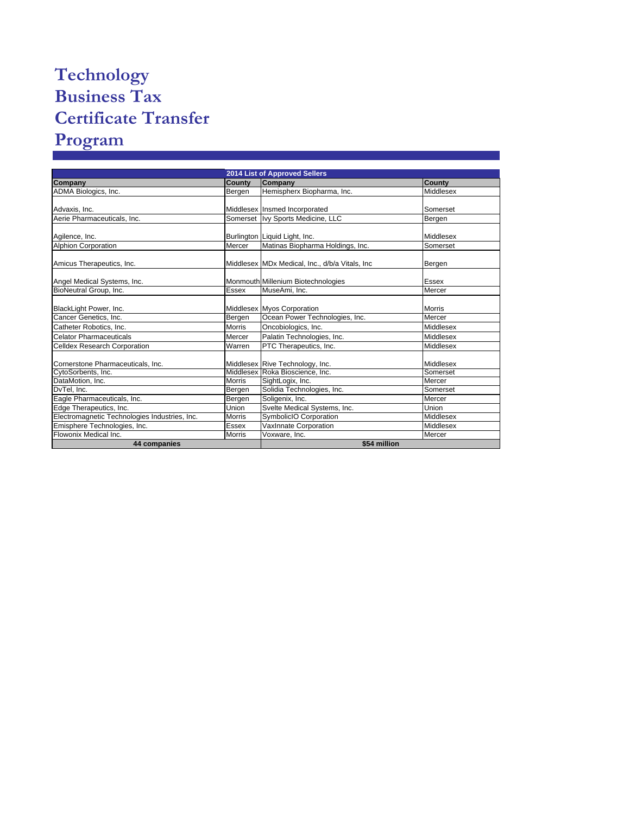## **Technology Business Tax Certificate Transfer Program**

|                                               | 2014 List of Approved Sellers |                                                 |               |  |  |  |  |  |  |
|-----------------------------------------------|-------------------------------|-------------------------------------------------|---------------|--|--|--|--|--|--|
| Company                                       | County                        | Company                                         | County        |  |  |  |  |  |  |
| ADMA Biologics, Inc.                          | Bergen                        | Hemispherx Biopharma, Inc.                      | Middlesex     |  |  |  |  |  |  |
|                                               |                               |                                                 |               |  |  |  |  |  |  |
| Advaxis, Inc.                                 |                               | Middlesex Insmed Incorporated                   | Somerset      |  |  |  |  |  |  |
| Aerie Pharmaceuticals, Inc.                   |                               | Somerset Ivy Sports Medicine, LLC               | Bergen        |  |  |  |  |  |  |
| Agilence, Inc.                                |                               | Burlington Liquid Light, Inc.                   | Middlesex     |  |  |  |  |  |  |
| <b>Alphion Corporation</b>                    | Mercer                        | Matinas Biopharma Holdings, Inc.                | Somerset      |  |  |  |  |  |  |
| Amicus Therapeutics, Inc.                     |                               | Middlesex MDx Medical, Inc., d/b/a Vitals, Inc. | Bergen        |  |  |  |  |  |  |
| Angel Medical Systems, Inc.                   |                               | Monmouth Millenium Biotechnologies              | Essex         |  |  |  |  |  |  |
| BioNeutral Group, Inc.                        | Essex                         | MuseAmi, Inc.                                   | Mercer        |  |  |  |  |  |  |
| BlackLight Power, Inc.                        |                               | Middlesex Myos Corporation                      | <b>Morris</b> |  |  |  |  |  |  |
| Cancer Genetics, Inc.                         | Bergen                        | Ocean Power Technologies, Inc.                  | Mercer        |  |  |  |  |  |  |
| Catheter Robotics, Inc.                       | <b>Morris</b>                 | Oncobiologics, Inc.                             | Middlesex     |  |  |  |  |  |  |
| Celator Pharmaceuticals                       | Mercer                        | Palatin Technologies, Inc.                      | Middlesex     |  |  |  |  |  |  |
| <b>Celldex Research Corporation</b>           | Warren                        | PTC Therapeutics, Inc.                          | Middlesex     |  |  |  |  |  |  |
| Cornerstone Pharmaceuticals, Inc.             |                               | Middlesex Rive Technology, Inc.                 | Middlesex     |  |  |  |  |  |  |
| CytoSorbents, Inc.                            |                               | Middlesex Roka Bioscience, Inc.                 | Somerset      |  |  |  |  |  |  |
| DataMotion, Inc.                              | <b>Morris</b>                 | SightLogix, Inc.                                | Mercer        |  |  |  |  |  |  |
| DvTel, Inc.                                   | Bergen                        | Solidia Technologies, Inc.                      | Somerset      |  |  |  |  |  |  |
| Eagle Pharmaceuticals, Inc.                   | Bergen                        | Soligenix, Inc.                                 | Mercer        |  |  |  |  |  |  |
| Edge Therapeutics, Inc.                       | Union                         | Svelte Medical Systems, Inc.                    | Union         |  |  |  |  |  |  |
| Electromagnetic Technologies Industries, Inc. | <b>Morris</b>                 | SymbolicIO Corporation                          | Middlesex     |  |  |  |  |  |  |
| Emisphere Technologies, Inc.                  | Essex                         | VaxInnate Corporation                           | Middlesex     |  |  |  |  |  |  |
| Flowonix Medical Inc.                         | <b>Morris</b>                 | Voxware, Inc.                                   | Mercer        |  |  |  |  |  |  |
| 44 companies                                  |                               | \$54 million                                    |               |  |  |  |  |  |  |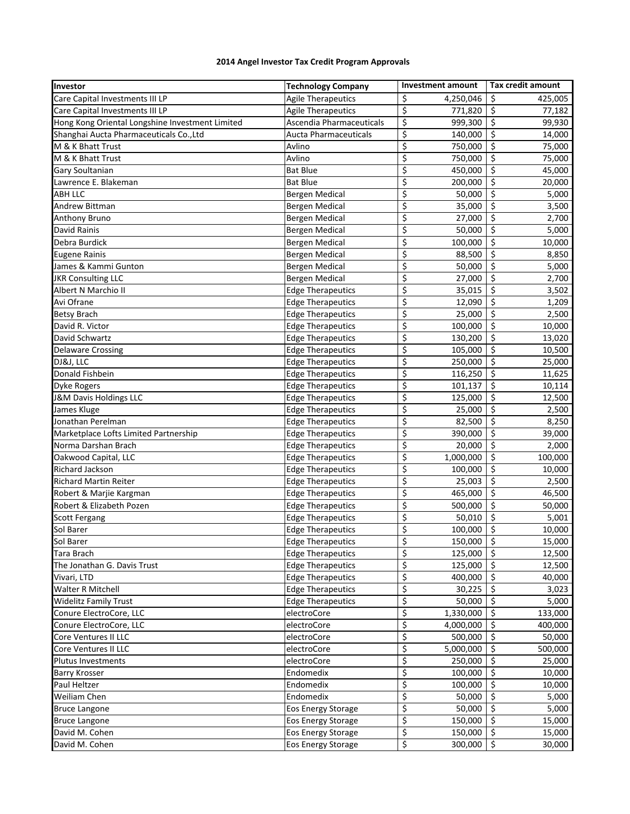## **2014 Angel Investor Tax Credit Program Approvals**

| <b>Agile Therapeutics</b><br>Care Capital Investments III LP<br>\$<br>4,250,046<br>\$<br>425,005<br>\$<br>\$<br>Care Capital Investments III LP<br><b>Agile Therapeutics</b><br>771,820<br>77,182<br>\$<br>\$<br>Hong Kong Oriental Longshine Investment Limited<br>Ascendia Pharmaceuticals<br>999,300<br>99,930<br>\$<br>\$<br>Shanghai Aucta Pharmaceuticals Co., Ltd<br><b>Aucta Pharmaceuticals</b><br>140,000<br>14,000<br>\$<br>\$<br>M & K Bhatt Trust<br>Avlino<br>750,000<br>75,000<br>\$<br>\$<br>M & K Bhatt Trust<br>Avlino<br>750,000<br>75,000<br>\$<br>\$<br>450,000<br>Gary Soultanian<br><b>Bat Blue</b><br>45,000<br>\$<br>\$<br>Lawrence E. Blakeman<br><b>Bat Blue</b><br>200,000<br>20,000<br>\$<br>\$<br>ABH LLC<br>50,000<br>5,000<br>Bergen Medical<br>\$<br>\$<br>Andrew Bittman<br>35,000<br>Bergen Medical<br>3,500<br>\$<br>\$<br>27,000<br>2,700<br>Anthony Bruno<br><b>Bergen Medical</b><br>\$<br>\$<br>50,000<br>David Rainis<br>5,000<br><b>Bergen Medical</b><br>\$<br>\$<br>Debra Burdick<br>100,000<br>10,000<br><b>Bergen Medical</b><br>\$<br>\$<br>88,500<br>8,850<br><b>Eugene Rainis</b><br><b>Bergen Medical</b><br>\$<br>$\zeta$<br>50,000<br>James & Kammi Gunton<br><b>Bergen Medical</b><br>5,000<br>\$<br>\$<br><b>JKR Consulting LLC</b><br><b>Bergen Medical</b><br>27,000<br>2,700<br>\$<br>\$<br>Albert N Marchio II<br>35,015<br><b>Edge Therapeutics</b><br>3,502<br>\$<br>Avi Ofrane<br>\$<br><b>Edge Therapeutics</b><br>12,090<br>1,209<br>\$<br>\$<br><b>Betsy Brach</b><br><b>Edge Therapeutics</b><br>25,000<br>2,500<br>\$<br>\$<br>David R. Victor<br><b>Edge Therapeutics</b><br>100,000<br>10,000<br>\$<br>\$<br>David Schwartz<br><b>Edge Therapeutics</b><br>130,200<br>13,020<br>\$<br>\$<br><b>Delaware Crossing</b><br><b>Edge Therapeutics</b><br>105,000<br>10,500<br>\$<br>\$<br>DJ&J, LLC<br><b>Edge Therapeutics</b><br>250,000<br>25,000<br>\$<br>$\zeta$<br>Donald Fishbein<br><b>Edge Therapeutics</b><br>116,250<br>11,625<br>\$<br>\$<br><b>Edge Therapeutics</b><br>101,137<br>10,114<br>Dyke Rogers<br>\$<br>\$<br>J&M Davis Holdings LLC<br>125,000<br>12,500<br><b>Edge Therapeutics</b><br>\$<br>\$<br>James Kluge<br><b>Edge Therapeutics</b><br>25,000<br>2,500<br>\$<br>\$<br>82,500<br>Jonathan Perelman<br><b>Edge Therapeutics</b><br>8,250<br>\$<br>\$<br>Marketplace Lofts Limited Partnership<br><b>Edge Therapeutics</b><br>390,000<br>39,000<br>\$<br>\$<br>20,000<br>Norma Darshan Brach<br><b>Edge Therapeutics</b><br>2,000 |
|-------------------------------------------------------------------------------------------------------------------------------------------------------------------------------------------------------------------------------------------------------------------------------------------------------------------------------------------------------------------------------------------------------------------------------------------------------------------------------------------------------------------------------------------------------------------------------------------------------------------------------------------------------------------------------------------------------------------------------------------------------------------------------------------------------------------------------------------------------------------------------------------------------------------------------------------------------------------------------------------------------------------------------------------------------------------------------------------------------------------------------------------------------------------------------------------------------------------------------------------------------------------------------------------------------------------------------------------------------------------------------------------------------------------------------------------------------------------------------------------------------------------------------------------------------------------------------------------------------------------------------------------------------------------------------------------------------------------------------------------------------------------------------------------------------------------------------------------------------------------------------------------------------------------------------------------------------------------------------------------------------------------------------------------------------------------------------------------------------------------------------------------------------------------------------------------------------------------------------------------------------------------------------------------------------------------------------------------------------------------------------------------------------------------------------------------------------------------------------------------------------------------------------|
|                                                                                                                                                                                                                                                                                                                                                                                                                                                                                                                                                                                                                                                                                                                                                                                                                                                                                                                                                                                                                                                                                                                                                                                                                                                                                                                                                                                                                                                                                                                                                                                                                                                                                                                                                                                                                                                                                                                                                                                                                                                                                                                                                                                                                                                                                                                                                                                                                                                                                                                               |
|                                                                                                                                                                                                                                                                                                                                                                                                                                                                                                                                                                                                                                                                                                                                                                                                                                                                                                                                                                                                                                                                                                                                                                                                                                                                                                                                                                                                                                                                                                                                                                                                                                                                                                                                                                                                                                                                                                                                                                                                                                                                                                                                                                                                                                                                                                                                                                                                                                                                                                                               |
|                                                                                                                                                                                                                                                                                                                                                                                                                                                                                                                                                                                                                                                                                                                                                                                                                                                                                                                                                                                                                                                                                                                                                                                                                                                                                                                                                                                                                                                                                                                                                                                                                                                                                                                                                                                                                                                                                                                                                                                                                                                                                                                                                                                                                                                                                                                                                                                                                                                                                                                               |
|                                                                                                                                                                                                                                                                                                                                                                                                                                                                                                                                                                                                                                                                                                                                                                                                                                                                                                                                                                                                                                                                                                                                                                                                                                                                                                                                                                                                                                                                                                                                                                                                                                                                                                                                                                                                                                                                                                                                                                                                                                                                                                                                                                                                                                                                                                                                                                                                                                                                                                                               |
|                                                                                                                                                                                                                                                                                                                                                                                                                                                                                                                                                                                                                                                                                                                                                                                                                                                                                                                                                                                                                                                                                                                                                                                                                                                                                                                                                                                                                                                                                                                                                                                                                                                                                                                                                                                                                                                                                                                                                                                                                                                                                                                                                                                                                                                                                                                                                                                                                                                                                                                               |
|                                                                                                                                                                                                                                                                                                                                                                                                                                                                                                                                                                                                                                                                                                                                                                                                                                                                                                                                                                                                                                                                                                                                                                                                                                                                                                                                                                                                                                                                                                                                                                                                                                                                                                                                                                                                                                                                                                                                                                                                                                                                                                                                                                                                                                                                                                                                                                                                                                                                                                                               |
|                                                                                                                                                                                                                                                                                                                                                                                                                                                                                                                                                                                                                                                                                                                                                                                                                                                                                                                                                                                                                                                                                                                                                                                                                                                                                                                                                                                                                                                                                                                                                                                                                                                                                                                                                                                                                                                                                                                                                                                                                                                                                                                                                                                                                                                                                                                                                                                                                                                                                                                               |
|                                                                                                                                                                                                                                                                                                                                                                                                                                                                                                                                                                                                                                                                                                                                                                                                                                                                                                                                                                                                                                                                                                                                                                                                                                                                                                                                                                                                                                                                                                                                                                                                                                                                                                                                                                                                                                                                                                                                                                                                                                                                                                                                                                                                                                                                                                                                                                                                                                                                                                                               |
|                                                                                                                                                                                                                                                                                                                                                                                                                                                                                                                                                                                                                                                                                                                                                                                                                                                                                                                                                                                                                                                                                                                                                                                                                                                                                                                                                                                                                                                                                                                                                                                                                                                                                                                                                                                                                                                                                                                                                                                                                                                                                                                                                                                                                                                                                                                                                                                                                                                                                                                               |
|                                                                                                                                                                                                                                                                                                                                                                                                                                                                                                                                                                                                                                                                                                                                                                                                                                                                                                                                                                                                                                                                                                                                                                                                                                                                                                                                                                                                                                                                                                                                                                                                                                                                                                                                                                                                                                                                                                                                                                                                                                                                                                                                                                                                                                                                                                                                                                                                                                                                                                                               |
|                                                                                                                                                                                                                                                                                                                                                                                                                                                                                                                                                                                                                                                                                                                                                                                                                                                                                                                                                                                                                                                                                                                                                                                                                                                                                                                                                                                                                                                                                                                                                                                                                                                                                                                                                                                                                                                                                                                                                                                                                                                                                                                                                                                                                                                                                                                                                                                                                                                                                                                               |
|                                                                                                                                                                                                                                                                                                                                                                                                                                                                                                                                                                                                                                                                                                                                                                                                                                                                                                                                                                                                                                                                                                                                                                                                                                                                                                                                                                                                                                                                                                                                                                                                                                                                                                                                                                                                                                                                                                                                                                                                                                                                                                                                                                                                                                                                                                                                                                                                                                                                                                                               |
|                                                                                                                                                                                                                                                                                                                                                                                                                                                                                                                                                                                                                                                                                                                                                                                                                                                                                                                                                                                                                                                                                                                                                                                                                                                                                                                                                                                                                                                                                                                                                                                                                                                                                                                                                                                                                                                                                                                                                                                                                                                                                                                                                                                                                                                                                                                                                                                                                                                                                                                               |
|                                                                                                                                                                                                                                                                                                                                                                                                                                                                                                                                                                                                                                                                                                                                                                                                                                                                                                                                                                                                                                                                                                                                                                                                                                                                                                                                                                                                                                                                                                                                                                                                                                                                                                                                                                                                                                                                                                                                                                                                                                                                                                                                                                                                                                                                                                                                                                                                                                                                                                                               |
|                                                                                                                                                                                                                                                                                                                                                                                                                                                                                                                                                                                                                                                                                                                                                                                                                                                                                                                                                                                                                                                                                                                                                                                                                                                                                                                                                                                                                                                                                                                                                                                                                                                                                                                                                                                                                                                                                                                                                                                                                                                                                                                                                                                                                                                                                                                                                                                                                                                                                                                               |
|                                                                                                                                                                                                                                                                                                                                                                                                                                                                                                                                                                                                                                                                                                                                                                                                                                                                                                                                                                                                                                                                                                                                                                                                                                                                                                                                                                                                                                                                                                                                                                                                                                                                                                                                                                                                                                                                                                                                                                                                                                                                                                                                                                                                                                                                                                                                                                                                                                                                                                                               |
|                                                                                                                                                                                                                                                                                                                                                                                                                                                                                                                                                                                                                                                                                                                                                                                                                                                                                                                                                                                                                                                                                                                                                                                                                                                                                                                                                                                                                                                                                                                                                                                                                                                                                                                                                                                                                                                                                                                                                                                                                                                                                                                                                                                                                                                                                                                                                                                                                                                                                                                               |
|                                                                                                                                                                                                                                                                                                                                                                                                                                                                                                                                                                                                                                                                                                                                                                                                                                                                                                                                                                                                                                                                                                                                                                                                                                                                                                                                                                                                                                                                                                                                                                                                                                                                                                                                                                                                                                                                                                                                                                                                                                                                                                                                                                                                                                                                                                                                                                                                                                                                                                                               |
|                                                                                                                                                                                                                                                                                                                                                                                                                                                                                                                                                                                                                                                                                                                                                                                                                                                                                                                                                                                                                                                                                                                                                                                                                                                                                                                                                                                                                                                                                                                                                                                                                                                                                                                                                                                                                                                                                                                                                                                                                                                                                                                                                                                                                                                                                                                                                                                                                                                                                                                               |
|                                                                                                                                                                                                                                                                                                                                                                                                                                                                                                                                                                                                                                                                                                                                                                                                                                                                                                                                                                                                                                                                                                                                                                                                                                                                                                                                                                                                                                                                                                                                                                                                                                                                                                                                                                                                                                                                                                                                                                                                                                                                                                                                                                                                                                                                                                                                                                                                                                                                                                                               |
|                                                                                                                                                                                                                                                                                                                                                                                                                                                                                                                                                                                                                                                                                                                                                                                                                                                                                                                                                                                                                                                                                                                                                                                                                                                                                                                                                                                                                                                                                                                                                                                                                                                                                                                                                                                                                                                                                                                                                                                                                                                                                                                                                                                                                                                                                                                                                                                                                                                                                                                               |
|                                                                                                                                                                                                                                                                                                                                                                                                                                                                                                                                                                                                                                                                                                                                                                                                                                                                                                                                                                                                                                                                                                                                                                                                                                                                                                                                                                                                                                                                                                                                                                                                                                                                                                                                                                                                                                                                                                                                                                                                                                                                                                                                                                                                                                                                                                                                                                                                                                                                                                                               |
|                                                                                                                                                                                                                                                                                                                                                                                                                                                                                                                                                                                                                                                                                                                                                                                                                                                                                                                                                                                                                                                                                                                                                                                                                                                                                                                                                                                                                                                                                                                                                                                                                                                                                                                                                                                                                                                                                                                                                                                                                                                                                                                                                                                                                                                                                                                                                                                                                                                                                                                               |
|                                                                                                                                                                                                                                                                                                                                                                                                                                                                                                                                                                                                                                                                                                                                                                                                                                                                                                                                                                                                                                                                                                                                                                                                                                                                                                                                                                                                                                                                                                                                                                                                                                                                                                                                                                                                                                                                                                                                                                                                                                                                                                                                                                                                                                                                                                                                                                                                                                                                                                                               |
|                                                                                                                                                                                                                                                                                                                                                                                                                                                                                                                                                                                                                                                                                                                                                                                                                                                                                                                                                                                                                                                                                                                                                                                                                                                                                                                                                                                                                                                                                                                                                                                                                                                                                                                                                                                                                                                                                                                                                                                                                                                                                                                                                                                                                                                                                                                                                                                                                                                                                                                               |
|                                                                                                                                                                                                                                                                                                                                                                                                                                                                                                                                                                                                                                                                                                                                                                                                                                                                                                                                                                                                                                                                                                                                                                                                                                                                                                                                                                                                                                                                                                                                                                                                                                                                                                                                                                                                                                                                                                                                                                                                                                                                                                                                                                                                                                                                                                                                                                                                                                                                                                                               |
|                                                                                                                                                                                                                                                                                                                                                                                                                                                                                                                                                                                                                                                                                                                                                                                                                                                                                                                                                                                                                                                                                                                                                                                                                                                                                                                                                                                                                                                                                                                                                                                                                                                                                                                                                                                                                                                                                                                                                                                                                                                                                                                                                                                                                                                                                                                                                                                                                                                                                                                               |
|                                                                                                                                                                                                                                                                                                                                                                                                                                                                                                                                                                                                                                                                                                                                                                                                                                                                                                                                                                                                                                                                                                                                                                                                                                                                                                                                                                                                                                                                                                                                                                                                                                                                                                                                                                                                                                                                                                                                                                                                                                                                                                                                                                                                                                                                                                                                                                                                                                                                                                                               |
|                                                                                                                                                                                                                                                                                                                                                                                                                                                                                                                                                                                                                                                                                                                                                                                                                                                                                                                                                                                                                                                                                                                                                                                                                                                                                                                                                                                                                                                                                                                                                                                                                                                                                                                                                                                                                                                                                                                                                                                                                                                                                                                                                                                                                                                                                                                                                                                                                                                                                                                               |
|                                                                                                                                                                                                                                                                                                                                                                                                                                                                                                                                                                                                                                                                                                                                                                                                                                                                                                                                                                                                                                                                                                                                                                                                                                                                                                                                                                                                                                                                                                                                                                                                                                                                                                                                                                                                                                                                                                                                                                                                                                                                                                                                                                                                                                                                                                                                                                                                                                                                                                                               |
| \$<br>\$<br>Oakwood Capital, LLC<br><b>Edge Therapeutics</b><br>1,000,000<br>100,000                                                                                                                                                                                                                                                                                                                                                                                                                                                                                                                                                                                                                                                                                                                                                                                                                                                                                                                                                                                                                                                                                                                                                                                                                                                                                                                                                                                                                                                                                                                                                                                                                                                                                                                                                                                                                                                                                                                                                                                                                                                                                                                                                                                                                                                                                                                                                                                                                                          |
| \$<br>\$<br>Richard Jackson<br><b>Edge Therapeutics</b><br>100,000<br>10,000                                                                                                                                                                                                                                                                                                                                                                                                                                                                                                                                                                                                                                                                                                                                                                                                                                                                                                                                                                                                                                                                                                                                                                                                                                                                                                                                                                                                                                                                                                                                                                                                                                                                                                                                                                                                                                                                                                                                                                                                                                                                                                                                                                                                                                                                                                                                                                                                                                                  |
| \$<br>\$<br><b>Edge Therapeutics</b><br><b>Richard Martin Reiter</b><br>25,003<br>2,500                                                                                                                                                                                                                                                                                                                                                                                                                                                                                                                                                                                                                                                                                                                                                                                                                                                                                                                                                                                                                                                                                                                                                                                                                                                                                                                                                                                                                                                                                                                                                                                                                                                                                                                                                                                                                                                                                                                                                                                                                                                                                                                                                                                                                                                                                                                                                                                                                                       |
| \$<br>\$<br>Robert & Marjie Kargman<br><b>Edge Therapeutics</b><br>465,000<br>46,500                                                                                                                                                                                                                                                                                                                                                                                                                                                                                                                                                                                                                                                                                                                                                                                                                                                                                                                                                                                                                                                                                                                                                                                                                                                                                                                                                                                                                                                                                                                                                                                                                                                                                                                                                                                                                                                                                                                                                                                                                                                                                                                                                                                                                                                                                                                                                                                                                                          |
| \$<br>\$<br>Robert & Elizabeth Pozen<br><b>Edge Therapeutics</b><br>500,000<br>50,000                                                                                                                                                                                                                                                                                                                                                                                                                                                                                                                                                                                                                                                                                                                                                                                                                                                                                                                                                                                                                                                                                                                                                                                                                                                                                                                                                                                                                                                                                                                                                                                                                                                                                                                                                                                                                                                                                                                                                                                                                                                                                                                                                                                                                                                                                                                                                                                                                                         |
| \$<br>\$<br><b>Edge Therapeutics</b><br>50,010<br>5,001<br><b>Scott Fergang</b>                                                                                                                                                                                                                                                                                                                                                                                                                                                                                                                                                                                                                                                                                                                                                                                                                                                                                                                                                                                                                                                                                                                                                                                                                                                                                                                                                                                                                                                                                                                                                                                                                                                                                                                                                                                                                                                                                                                                                                                                                                                                                                                                                                                                                                                                                                                                                                                                                                               |
| \$<br>\$<br>Sol Barer<br><b>Edge Therapeutics</b><br>100,000<br>10,000                                                                                                                                                                                                                                                                                                                                                                                                                                                                                                                                                                                                                                                                                                                                                                                                                                                                                                                                                                                                                                                                                                                                                                                                                                                                                                                                                                                                                                                                                                                                                                                                                                                                                                                                                                                                                                                                                                                                                                                                                                                                                                                                                                                                                                                                                                                                                                                                                                                        |
| Sol Barer<br>Edge Therapeutics<br>Ş<br>$150,000$   \$<br>15,000                                                                                                                                                                                                                                                                                                                                                                                                                                                                                                                                                                                                                                                                                                                                                                                                                                                                                                                                                                                                                                                                                                                                                                                                                                                                                                                                                                                                                                                                                                                                                                                                                                                                                                                                                                                                                                                                                                                                                                                                                                                                                                                                                                                                                                                                                                                                                                                                                                                               |
| \$<br>$\ddot{\mathsf{S}}$<br><b>Edge Therapeutics</b><br>125,000<br>Tara Brach<br>12,500                                                                                                                                                                                                                                                                                                                                                                                                                                                                                                                                                                                                                                                                                                                                                                                                                                                                                                                                                                                                                                                                                                                                                                                                                                                                                                                                                                                                                                                                                                                                                                                                                                                                                                                                                                                                                                                                                                                                                                                                                                                                                                                                                                                                                                                                                                                                                                                                                                      |
| \$<br>$\zeta$<br><b>Edge Therapeutics</b><br>The Jonathan G. Davis Trust<br>125,000<br>12,500                                                                                                                                                                                                                                                                                                                                                                                                                                                                                                                                                                                                                                                                                                                                                                                                                                                                                                                                                                                                                                                                                                                                                                                                                                                                                                                                                                                                                                                                                                                                                                                                                                                                                                                                                                                                                                                                                                                                                                                                                                                                                                                                                                                                                                                                                                                                                                                                                                 |
| \$<br>$\zeta$<br><b>Edge Therapeutics</b><br>400,000<br>40,000<br>Vivari, LTD                                                                                                                                                                                                                                                                                                                                                                                                                                                                                                                                                                                                                                                                                                                                                                                                                                                                                                                                                                                                                                                                                                                                                                                                                                                                                                                                                                                                                                                                                                                                                                                                                                                                                                                                                                                                                                                                                                                                                                                                                                                                                                                                                                                                                                                                                                                                                                                                                                                 |
| \$<br>$\zeta$<br><b>Edge Therapeutics</b><br>30,225<br>3,023<br><b>Walter R Mitchell</b>                                                                                                                                                                                                                                                                                                                                                                                                                                                                                                                                                                                                                                                                                                                                                                                                                                                                                                                                                                                                                                                                                                                                                                                                                                                                                                                                                                                                                                                                                                                                                                                                                                                                                                                                                                                                                                                                                                                                                                                                                                                                                                                                                                                                                                                                                                                                                                                                                                      |
| \$<br>\$<br><b>Widelitz Family Trust</b><br><b>Edge Therapeutics</b><br>50,000<br>5,000                                                                                                                                                                                                                                                                                                                                                                                                                                                                                                                                                                                                                                                                                                                                                                                                                                                                                                                                                                                                                                                                                                                                                                                                                                                                                                                                                                                                                                                                                                                                                                                                                                                                                                                                                                                                                                                                                                                                                                                                                                                                                                                                                                                                                                                                                                                                                                                                                                       |
| \$<br>\$<br>Conure ElectroCore, LLC<br>electroCore<br>1,330,000<br>133,000                                                                                                                                                                                                                                                                                                                                                                                                                                                                                                                                                                                                                                                                                                                                                                                                                                                                                                                                                                                                                                                                                                                                                                                                                                                                                                                                                                                                                                                                                                                                                                                                                                                                                                                                                                                                                                                                                                                                                                                                                                                                                                                                                                                                                                                                                                                                                                                                                                                    |
| \$<br>\$<br>Conure ElectroCore, LLC<br>4,000,000<br>electroCore<br>400,000                                                                                                                                                                                                                                                                                                                                                                                                                                                                                                                                                                                                                                                                                                                                                                                                                                                                                                                                                                                                                                                                                                                                                                                                                                                                                                                                                                                                                                                                                                                                                                                                                                                                                                                                                                                                                                                                                                                                                                                                                                                                                                                                                                                                                                                                                                                                                                                                                                                    |
| \$<br>$\zeta$<br>Core Ventures II LLC<br>500,000<br>electroCore<br>50,000                                                                                                                                                                                                                                                                                                                                                                                                                                                                                                                                                                                                                                                                                                                                                                                                                                                                                                                                                                                                                                                                                                                                                                                                                                                                                                                                                                                                                                                                                                                                                                                                                                                                                                                                                                                                                                                                                                                                                                                                                                                                                                                                                                                                                                                                                                                                                                                                                                                     |
| \$<br>$\zeta$<br>5,000,000<br>Core Ventures II LLC<br>500,000<br>electroCore                                                                                                                                                                                                                                                                                                                                                                                                                                                                                                                                                                                                                                                                                                                                                                                                                                                                                                                                                                                                                                                                                                                                                                                                                                                                                                                                                                                                                                                                                                                                                                                                                                                                                                                                                                                                                                                                                                                                                                                                                                                                                                                                                                                                                                                                                                                                                                                                                                                  |
| \$<br>$\zeta$<br>Plutus Investments<br>250,000<br>25,000<br>electroCore                                                                                                                                                                                                                                                                                                                                                                                                                                                                                                                                                                                                                                                                                                                                                                                                                                                                                                                                                                                                                                                                                                                                                                                                                                                                                                                                                                                                                                                                                                                                                                                                                                                                                                                                                                                                                                                                                                                                                                                                                                                                                                                                                                                                                                                                                                                                                                                                                                                       |
| \$<br>$\zeta$<br><b>Barry Krosser</b><br>Endomedix<br>100,000<br>10,000                                                                                                                                                                                                                                                                                                                                                                                                                                                                                                                                                                                                                                                                                                                                                                                                                                                                                                                                                                                                                                                                                                                                                                                                                                                                                                                                                                                                                                                                                                                                                                                                                                                                                                                                                                                                                                                                                                                                                                                                                                                                                                                                                                                                                                                                                                                                                                                                                                                       |
| \$<br>\$<br>Paul Heltzer<br>Endomedix<br>100,000<br>10,000                                                                                                                                                                                                                                                                                                                                                                                                                                                                                                                                                                                                                                                                                                                                                                                                                                                                                                                                                                                                                                                                                                                                                                                                                                                                                                                                                                                                                                                                                                                                                                                                                                                                                                                                                                                                                                                                                                                                                                                                                                                                                                                                                                                                                                                                                                                                                                                                                                                                    |
| \$<br>\$<br>Weiliam Chen<br>Endomedix<br>50,000<br>5,000                                                                                                                                                                                                                                                                                                                                                                                                                                                                                                                                                                                                                                                                                                                                                                                                                                                                                                                                                                                                                                                                                                                                                                                                                                                                                                                                                                                                                                                                                                                                                                                                                                                                                                                                                                                                                                                                                                                                                                                                                                                                                                                                                                                                                                                                                                                                                                                                                                                                      |
| \$<br>\$<br><b>Bruce Langone</b><br>Eos Energy Storage<br>50,000<br>5,000                                                                                                                                                                                                                                                                                                                                                                                                                                                                                                                                                                                                                                                                                                                                                                                                                                                                                                                                                                                                                                                                                                                                                                                                                                                                                                                                                                                                                                                                                                                                                                                                                                                                                                                                                                                                                                                                                                                                                                                                                                                                                                                                                                                                                                                                                                                                                                                                                                                     |
| \$<br>$\zeta$<br>150,000<br><b>Bruce Langone</b><br>Eos Energy Storage<br>15,000                                                                                                                                                                                                                                                                                                                                                                                                                                                                                                                                                                                                                                                                                                                                                                                                                                                                                                                                                                                                                                                                                                                                                                                                                                                                                                                                                                                                                                                                                                                                                                                                                                                                                                                                                                                                                                                                                                                                                                                                                                                                                                                                                                                                                                                                                                                                                                                                                                              |
| \$<br>$\zeta$<br>David M. Cohen<br>Eos Energy Storage<br>150,000<br>15,000                                                                                                                                                                                                                                                                                                                                                                                                                                                                                                                                                                                                                                                                                                                                                                                                                                                                                                                                                                                                                                                                                                                                                                                                                                                                                                                                                                                                                                                                                                                                                                                                                                                                                                                                                                                                                                                                                                                                                                                                                                                                                                                                                                                                                                                                                                                                                                                                                                                    |
| \$<br>300,000 \$<br>David M. Cohen<br>Eos Energy Storage<br>30,000                                                                                                                                                                                                                                                                                                                                                                                                                                                                                                                                                                                                                                                                                                                                                                                                                                                                                                                                                                                                                                                                                                                                                                                                                                                                                                                                                                                                                                                                                                                                                                                                                                                                                                                                                                                                                                                                                                                                                                                                                                                                                                                                                                                                                                                                                                                                                                                                                                                            |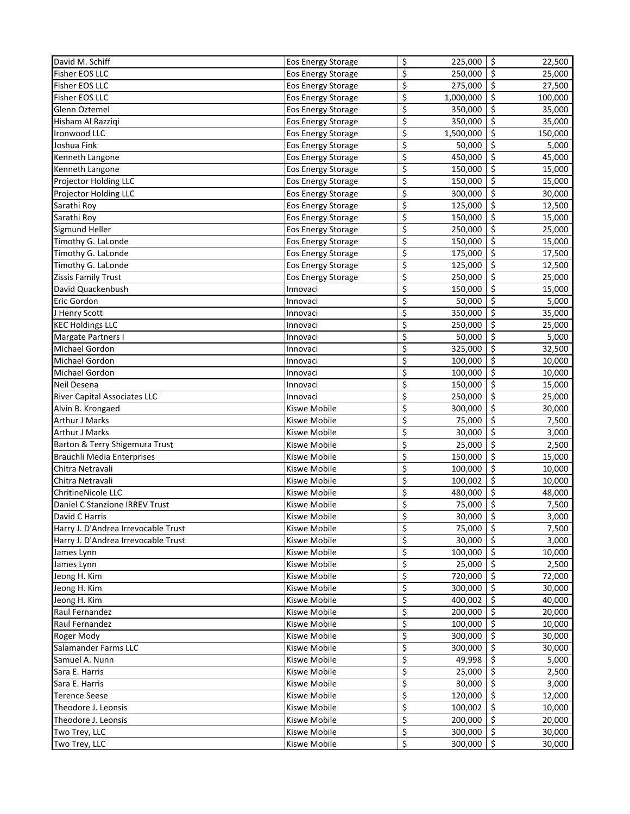| David M. Schiff                     | Eos Energy Storage  | \$<br>225,000   | $\zeta$<br>22,500 |
|-------------------------------------|---------------------|-----------------|-------------------|
| <b>Fisher EOS LLC</b>               | Eos Energy Storage  | \$<br>250,000   | \$<br>25,000      |
| Fisher EOS LLC                      | Eos Energy Storage  | \$<br>275,000   | \$<br>27,500      |
| <b>Fisher EOS LLC</b>               | Eos Energy Storage  | \$<br>1,000,000 | \$<br>100,000     |
| Glenn Oztemel                       | Eos Energy Storage  | \$<br>350,000   | \$<br>35,000      |
| Hisham Al Razziqi                   | Eos Energy Storage  | \$<br>350,000   | \$<br>35,000      |
| Ironwood LLC                        | Eos Energy Storage  | \$<br>1,500,000 | \$<br>150,000     |
| Joshua Fink                         | Eos Energy Storage  | \$<br>50,000    | \$<br>5,000       |
| Kenneth Langone                     | Eos Energy Storage  | \$<br>450,000   | \$<br>45,000      |
| Kenneth Langone                     | Eos Energy Storage  | \$<br>150,000   | Ś.<br>15,000      |
| Projector Holding LLC               | Eos Energy Storage  | \$<br>150,000   | \$<br>15,000      |
| Projector Holding LLC               | Eos Energy Storage  | \$<br>300,000   | \$<br>30,000      |
| Sarathi Roy                         | Eos Energy Storage  | \$<br>125,000   | \$<br>12,500      |
| Sarathi Roy                         | Eos Energy Storage  | \$<br>150,000   | \$<br>15,000      |
| Sigmund Heller                      | Eos Energy Storage  | \$<br>250,000   | \$<br>25,000      |
| Timothy G. LaLonde                  | Eos Energy Storage  | \$<br>150,000   | \$<br>15,000      |
| Timothy G. LaLonde                  | Eos Energy Storage  | \$<br>175,000   | \$<br>17,500      |
| Timothy G. LaLonde                  | Eos Energy Storage  | \$<br>125,000   | \$<br>12,500      |
| Zissis Family Trust                 | Eos Energy Storage  | \$<br>250,000   | \$<br>25,000      |
| David Quackenbush                   | Innovaci            | \$<br>150,000   | \$<br>15,000      |
| Eric Gordon                         | Innovaci            | \$<br>50,000    | \$<br>5,000       |
| J Henry Scott                       | Innovaci            | \$<br>350,000   | \$<br>35,000      |
| <b>KEC Holdings LLC</b>             | Innovaci            | \$<br>250,000   | \$<br>25,000      |
| Margate Partners I                  | Innovaci            | \$<br>50,000    | \$<br>5,000       |
| Michael Gordon                      | Innovaci            | \$<br>325,000   | \$<br>32,500      |
| Michael Gordon                      | Innovaci            | \$<br>100,000   | \$<br>10,000      |
| Michael Gordon                      | Innovaci            | \$<br>100,000   | \$<br>10,000      |
| Neil Desena                         | Innovaci            | \$<br>150,000   | \$<br>15,000      |
| <b>River Capital Associates LLC</b> | Innovaci            | \$<br>250,000   | \$<br>25,000      |
| Alvin B. Krongaed                   | Kiswe Mobile        | \$<br>300,000   | \$<br>30,000      |
| <b>Arthur J Marks</b>               | Kiswe Mobile        | \$<br>75,000    | \$<br>7,500       |
| <b>Arthur J Marks</b>               | Kiswe Mobile        | \$<br>30,000    | \$<br>3,000       |
| Barton & Terry Shigemura Trust      | Kiswe Mobile        | \$<br>25,000    | \$<br>2,500       |
| Brauchli Media Enterprises          | Kiswe Mobile        | \$<br>150,000   | \$<br>15,000      |
| Chitra Netravali                    | Kiswe Mobile        | \$<br>100,000   | $\zeta$<br>10,000 |
| Chitra Netravali                    | <b>Kiswe Mobile</b> | \$<br>100,002   | \$<br>10,000      |
| <b>ChritineNicole LLC</b>           | <b>Kiswe Mobile</b> | \$<br>480,000   | \$<br>48,000      |
| Daniel C Stanzione IRREV Trust      | Kiswe Mobile        | \$<br>75,000    | \$<br>7,500       |
| David C Harris                      | Kiswe Mobile        | \$<br>30,000    | \$<br>3,000       |
| Harry J. D'Andrea Irrevocable Trust | Kiswe Mobile        | \$<br>75,000    | \$<br>7,500       |
| Harry J. D'Andrea Irrevocable Trust | Kiswe Mobile        | \$<br>30,000    | \$<br>3,000       |
| James Lynn                          | Kiswe Mobile        | \$<br>100,000   | \$<br>10,000      |
| James Lynn                          | Kiswe Mobile        | \$<br>25,000    | \$<br>2,500       |
| Jeong H. Kim                        | <b>Kiswe Mobile</b> | \$<br>720,000   | $\zeta$<br>72,000 |
| Jeong H. Kim                        | Kiswe Mobile        | \$<br>300,000   | \$<br>30,000      |
| Jeong H. Kim                        | Kiswe Mobile        | \$<br>400,002   | \$<br>40,000      |
| Raul Fernandez                      | Kiswe Mobile        | \$<br>200,000   | \$<br>20,000      |
| Raul Fernandez                      | Kiswe Mobile        | \$<br>100,000   | \$<br>10,000      |
| Roger Mody                          | Kiswe Mobile        | \$<br>300,000   | \$<br>30,000      |
| Salamander Farms LLC                | Kiswe Mobile        | \$<br>300,000   | \$<br>30,000      |
| Samuel A. Nunn                      | Kiswe Mobile        | \$<br>49,998    | \$<br>5,000       |
| Sara E. Harris                      | Kiswe Mobile        | \$<br>25,000    | \$<br>2,500       |
| Sara E. Harris                      | Kiswe Mobile        | \$<br>30,000    | \$<br>3,000       |
| <b>Terence Seese</b>                | Kiswe Mobile        | \$<br>120,000   | \$<br>12,000      |
| Theodore J. Leonsis                 | Kiswe Mobile        | \$<br>100,002   | \$<br>10,000      |
| Theodore J. Leonsis                 | Kiswe Mobile        | \$<br>200,000   | \$<br>20,000      |
| Two Trey, LLC                       | Kiswe Mobile        | \$<br>300,000   | \$<br>30,000      |
| Two Trey, LLC                       | Kiswe Mobile        | \$<br>300,000   | $\zeta$<br>30,000 |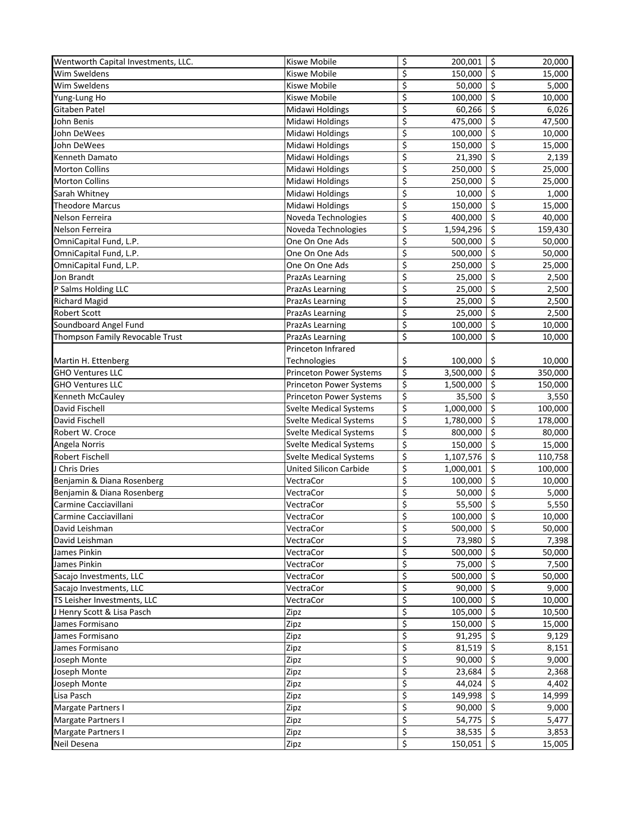| Wentworth Capital Investments, LLC. | <b>Kiswe Mobile</b>           | \$<br>200,001   | \$ | 20,000  |
|-------------------------------------|-------------------------------|-----------------|----|---------|
| Wim Sweldens                        | <b>Kiswe Mobile</b>           | \$<br>150,000   | \$ | 15,000  |
| Wim Sweldens                        | Kiswe Mobile                  | \$<br>50,000    | \$ | 5,000   |
| Yung-Lung Ho                        | Kiswe Mobile                  | \$<br>100,000   | \$ | 10,000  |
| <b>Gitaben Patel</b>                | Midawi Holdings               | \$<br>60,266    | \$ | 6,026   |
| John Benis                          | Midawi Holdings               | \$<br>475,000   | \$ | 47,500  |
| John DeWees                         | Midawi Holdings               | \$<br>100,000   | \$ | 10,000  |
| John DeWees                         | Midawi Holdings               | \$<br>150,000   | \$ | 15,000  |
| Kenneth Damato                      | Midawi Holdings               | \$<br>21,390    | \$ | 2,139   |
| <b>Morton Collins</b>               | Midawi Holdings               | \$<br>250,000   | Ś  | 25,000  |
| <b>Morton Collins</b>               | Midawi Holdings               | \$<br>250,000   | \$ | 25,000  |
| Sarah Whitney                       | Midawi Holdings               | \$<br>10,000    | \$ | 1,000   |
| <b>Theodore Marcus</b>              | Midawi Holdings               | \$<br>150,000   | \$ | 15,000  |
| Nelson Ferreira                     | Noveda Technologies           | \$<br>400,000   | \$ | 40,000  |
| Nelson Ferreira                     | Noveda Technologies           | \$<br>1,594,296 | \$ | 159,430 |
| OmniCapital Fund, L.P.              | One On One Ads                | \$<br>500,000   | \$ | 50,000  |
| OmniCapital Fund, L.P.              | One On One Ads                | \$<br>500,000   | \$ | 50,000  |
| OmniCapital Fund, L.P.              | One On One Ads                | \$<br>250,000   | \$ | 25,000  |
| Jon Brandt                          | PrazAs Learning               | \$<br>25,000    | \$ | 2,500   |
| P Salms Holding LLC                 | PrazAs Learning               | \$<br>25,000    | \$ | 2,500   |
| <b>Richard Magid</b>                | PrazAs Learning               | \$<br>25,000    | \$ | 2,500   |
| <b>Robert Scott</b>                 | PrazAs Learning               | \$<br>25,000    | \$ | 2,500   |
| Soundboard Angel Fund               | PrazAs Learning               | \$<br>100,000   | \$ | 10,000  |
| Thompson Family Revocable Trust     | PrazAs Learning               | \$<br>100,000   | \$ | 10,000  |
|                                     | Princeton Infrared            |                 |    |         |
| Martin H. Ettenberg                 | Technologies                  | \$<br>100,000   | \$ | 10,000  |
| <b>GHO Ventures LLC</b>             | Princeton Power Systems       | \$<br>3,500,000 | \$ | 350,000 |
| <b>GHO Ventures LLC</b>             | Princeton Power Systems       | \$<br>1,500,000 | \$ | 150,000 |
| Kenneth McCauley                    | Princeton Power Systems       | \$<br>35,500    | \$ | 3,550   |
| David Fischell                      | <b>Svelte Medical Systems</b> | \$<br>1,000,000 | \$ | 100,000 |
| David Fischell                      | <b>Svelte Medical Systems</b> | \$<br>1,780,000 | \$ | 178,000 |
| Robert W. Croce                     | <b>Svelte Medical Systems</b> | \$<br>800,000   | \$ | 80,000  |
| Angela Norris                       | <b>Svelte Medical Systems</b> | \$<br>150,000   | \$ | 15,000  |
| Robert Fischell                     | <b>Svelte Medical Systems</b> | \$<br>1,107,576 | \$ | 110,758 |
| J Chris Dries                       | <b>United Silicon Carbide</b> | \$<br>1,000,001 | \$ | 100,000 |
| Benjamin & Diana Rosenberg          | VectraCor                     | \$<br>100,000   | \$ | 10,000  |
| Benjamin & Diana Rosenberg          | VectraCor                     | \$<br>50,000    | \$ | 5,000   |
| Carmine Cacciavillani               | VectraCor                     | \$<br>55,500    | \$ | 5,550   |
| Carmine Cacciavillani               | VectraCor                     | \$<br>100,000   | \$ | 10,000  |
| David Leishman                      | VectraCor                     | \$<br>500,000   | Ś. | 50,000  |
| David Leishman                      | VectraCor                     | \$<br>73,980    | \$ | 7,398   |
| James Pinkin                        | VectraCor                     | \$<br>500,000   | \$ | 50,000  |
| James Pinkin                        | VectraCor                     | \$<br>75,000    | \$ | 7,500   |
| Sacajo Investments, LLC             | VectraCor                     | \$<br>500,000   | \$ | 50,000  |
| Sacajo Investments, LLC             | VectraCor                     | \$<br>90,000    | \$ | 9,000   |
| TS Leisher Investments, LLC         | VectraCor                     | \$<br>100,000   | \$ | 10,000  |
| J Henry Scott & Lisa Pasch          | Zipz                          | \$<br>105,000   | \$ | 10,500  |
| James Formisano                     | Zipz                          | \$<br>150,000   | \$ | 15,000  |
| James Formisano                     | Zipz                          | \$<br>91,295    | \$ | 9,129   |
| James Formisano                     | Zipz                          | \$<br>81,519    | \$ | 8,151   |
| Joseph Monte                        | Zipz                          | \$<br>90,000    | \$ | 9,000   |
| Joseph Monte                        | Zipz                          | \$<br>23,684    | \$ | 2,368   |
| Joseph Monte                        | Zipz                          | \$<br>44,024    | \$ | 4,402   |
| Lisa Pasch                          | Zipz                          | \$<br>149,998   | \$ | 14,999  |
| Margate Partners I                  | Zipz                          | \$<br>90,000    | \$ | 9,000   |
| Margate Partners I                  | Zipz                          | \$<br>54,775    | \$ | 5,477   |
| <b>Margate Partners I</b>           | Zipz                          | \$<br>38,535    | \$ | 3,853   |
| Neil Desena                         | Zipz                          | \$<br>150,051   | \$ | 15,005  |